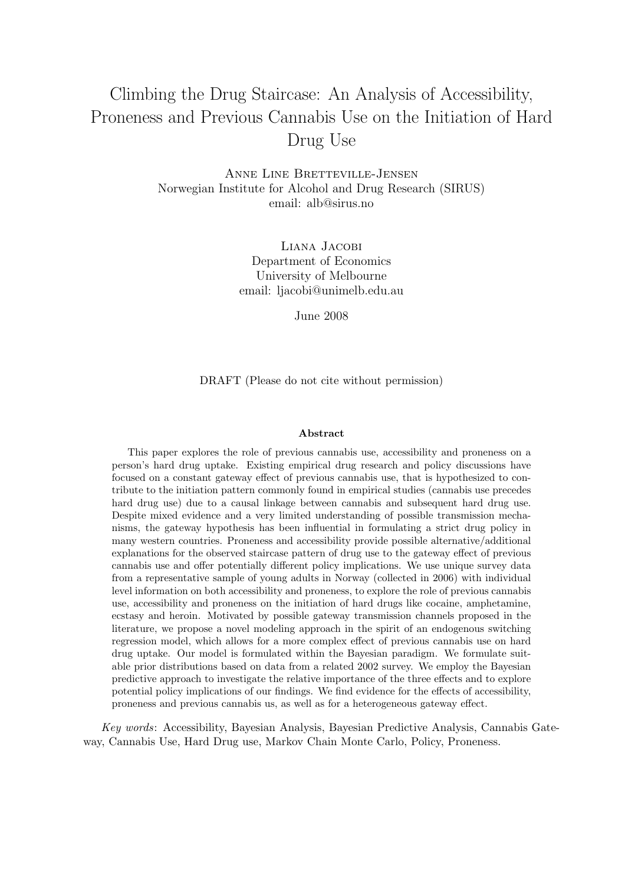# Climbing the Drug Staircase: An Analysis of Accessibility, Proneness and Previous Cannabis Use on the Initiation of Hard Drug Use

Anne Line Bretteville-Jensen Norwegian Institute for Alcohol and Drug Research (SIRUS) email: alb@sirus.no

> Liana Jacobi Department of Economics University of Melbourne email: ljacobi@unimelb.edu.au

> > June 2008

DRAFT (Please do not cite without permission)

#### Abstract

This paper explores the role of previous cannabis use, accessibility and proneness on a person's hard drug uptake. Existing empirical drug research and policy discussions have focused on a constant gateway effect of previous cannabis use, that is hypothesized to contribute to the initiation pattern commonly found in empirical studies (cannabis use precedes hard drug use) due to a causal linkage between cannabis and subsequent hard drug use. Despite mixed evidence and a very limited understanding of possible transmission mechanisms, the gateway hypothesis has been influential in formulating a strict drug policy in many western countries. Proneness and accessibility provide possible alternative/additional explanations for the observed staircase pattern of drug use to the gateway effect of previous cannabis use and offer potentially different policy implications. We use unique survey data from a representative sample of young adults in Norway (collected in 2006) with individual level information on both accessibility and proneness, to explore the role of previous cannabis use, accessibility and proneness on the initiation of hard drugs like cocaine, amphetamine, ecstasy and heroin. Motivated by possible gateway transmission channels proposed in the literature, we propose a novel modeling approach in the spirit of an endogenous switching regression model, which allows for a more complex effect of previous cannabis use on hard drug uptake. Our model is formulated within the Bayesian paradigm. We formulate suitable prior distributions based on data from a related 2002 survey. We employ the Bayesian predictive approach to investigate the relative importance of the three effects and to explore potential policy implications of our findings. We find evidence for the effects of accessibility, proneness and previous cannabis us, as well as for a heterogeneous gateway effect.

Key words: Accessibility, Bayesian Analysis, Bayesian Predictive Analysis, Cannabis Gateway, Cannabis Use, Hard Drug use, Markov Chain Monte Carlo, Policy, Proneness.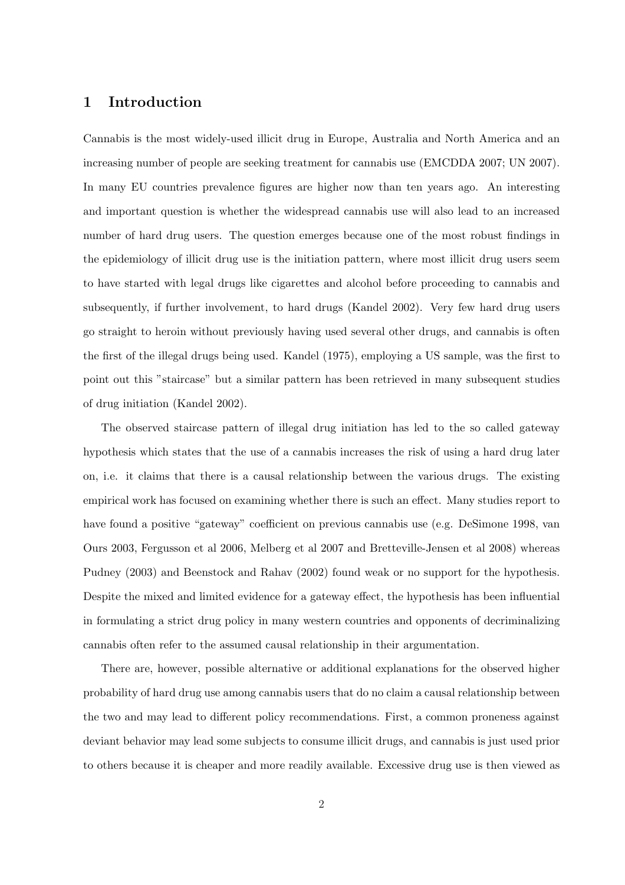### 1 Introduction

Cannabis is the most widely-used illicit drug in Europe, Australia and North America and an increasing number of people are seeking treatment for cannabis use (EMCDDA 2007; UN 2007). In many EU countries prevalence figures are higher now than ten years ago. An interesting and important question is whether the widespread cannabis use will also lead to an increased number of hard drug users. The question emerges because one of the most robust findings in the epidemiology of illicit drug use is the initiation pattern, where most illicit drug users seem to have started with legal drugs like cigarettes and alcohol before proceeding to cannabis and subsequently, if further involvement, to hard drugs (Kandel 2002). Very few hard drug users go straight to heroin without previously having used several other drugs, and cannabis is often the first of the illegal drugs being used. Kandel (1975), employing a US sample, was the first to point out this "staircase" but a similar pattern has been retrieved in many subsequent studies of drug initiation (Kandel 2002).

The observed staircase pattern of illegal drug initiation has led to the so called gateway hypothesis which states that the use of a cannabis increases the risk of using a hard drug later on, i.e. it claims that there is a causal relationship between the various drugs. The existing empirical work has focused on examining whether there is such an effect. Many studies report to have found a positive "gateway" coefficient on previous cannabis use (e.g. DeSimone 1998, van Ours 2003, Fergusson et al 2006, Melberg et al 2007 and Bretteville-Jensen et al 2008) whereas Pudney (2003) and Beenstock and Rahav (2002) found weak or no support for the hypothesis. Despite the mixed and limited evidence for a gateway effect, the hypothesis has been influential in formulating a strict drug policy in many western countries and opponents of decriminalizing cannabis often refer to the assumed causal relationship in their argumentation.

There are, however, possible alternative or additional explanations for the observed higher probability of hard drug use among cannabis users that do no claim a causal relationship between the two and may lead to different policy recommendations. First, a common proneness against deviant behavior may lead some subjects to consume illicit drugs, and cannabis is just used prior to others because it is cheaper and more readily available. Excessive drug use is then viewed as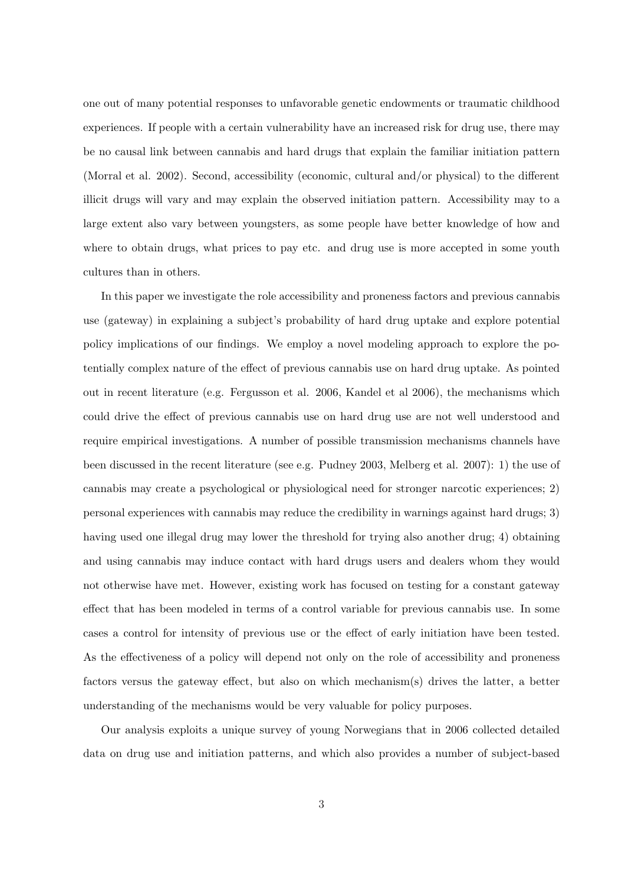one out of many potential responses to unfavorable genetic endowments or traumatic childhood experiences. If people with a certain vulnerability have an increased risk for drug use, there may be no causal link between cannabis and hard drugs that explain the familiar initiation pattern (Morral et al. 2002). Second, accessibility (economic, cultural and/or physical) to the different illicit drugs will vary and may explain the observed initiation pattern. Accessibility may to a large extent also vary between youngsters, as some people have better knowledge of how and where to obtain drugs, what prices to pay etc. and drug use is more accepted in some youth cultures than in others.

In this paper we investigate the role accessibility and proneness factors and previous cannabis use (gateway) in explaining a subject's probability of hard drug uptake and explore potential policy implications of our findings. We employ a novel modeling approach to explore the potentially complex nature of the effect of previous cannabis use on hard drug uptake. As pointed out in recent literature (e.g. Fergusson et al. 2006, Kandel et al 2006), the mechanisms which could drive the effect of previous cannabis use on hard drug use are not well understood and require empirical investigations. A number of possible transmission mechanisms channels have been discussed in the recent literature (see e.g. Pudney 2003, Melberg et al. 2007): 1) the use of cannabis may create a psychological or physiological need for stronger narcotic experiences; 2) personal experiences with cannabis may reduce the credibility in warnings against hard drugs; 3) having used one illegal drug may lower the threshold for trying also another drug; 4) obtaining and using cannabis may induce contact with hard drugs users and dealers whom they would not otherwise have met. However, existing work has focused on testing for a constant gateway effect that has been modeled in terms of a control variable for previous cannabis use. In some cases a control for intensity of previous use or the effect of early initiation have been tested. As the effectiveness of a policy will depend not only on the role of accessibility and proneness factors versus the gateway effect, but also on which mechanism(s) drives the latter, a better understanding of the mechanisms would be very valuable for policy purposes.

Our analysis exploits a unique survey of young Norwegians that in 2006 collected detailed data on drug use and initiation patterns, and which also provides a number of subject-based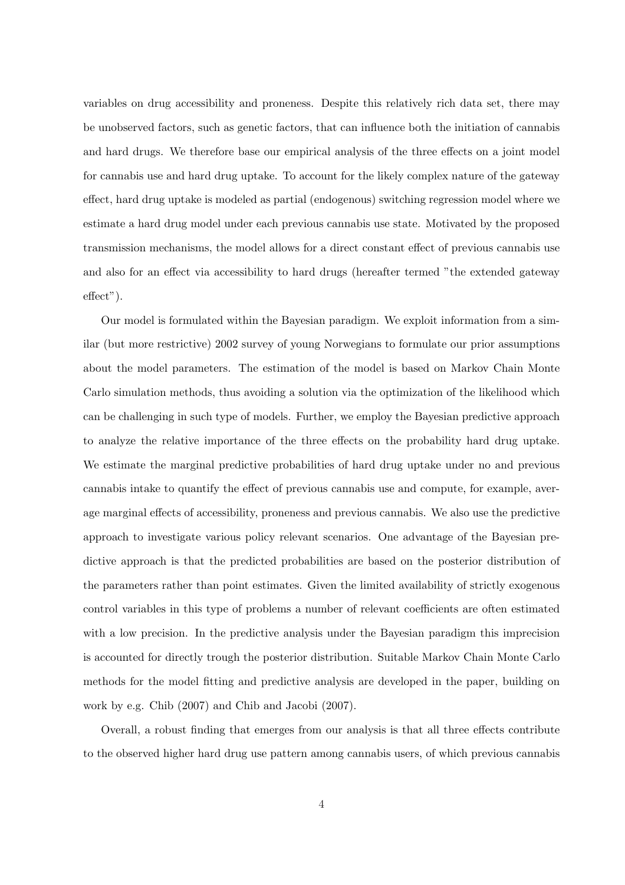variables on drug accessibility and proneness. Despite this relatively rich data set, there may be unobserved factors, such as genetic factors, that can influence both the initiation of cannabis and hard drugs. We therefore base our empirical analysis of the three effects on a joint model for cannabis use and hard drug uptake. To account for the likely complex nature of the gateway effect, hard drug uptake is modeled as partial (endogenous) switching regression model where we estimate a hard drug model under each previous cannabis use state. Motivated by the proposed transmission mechanisms, the model allows for a direct constant effect of previous cannabis use and also for an effect via accessibility to hard drugs (hereafter termed "the extended gateway effect").

Our model is formulated within the Bayesian paradigm. We exploit information from a similar (but more restrictive) 2002 survey of young Norwegians to formulate our prior assumptions about the model parameters. The estimation of the model is based on Markov Chain Monte Carlo simulation methods, thus avoiding a solution via the optimization of the likelihood which can be challenging in such type of models. Further, we employ the Bayesian predictive approach to analyze the relative importance of the three effects on the probability hard drug uptake. We estimate the marginal predictive probabilities of hard drug uptake under no and previous cannabis intake to quantify the effect of previous cannabis use and compute, for example, average marginal effects of accessibility, proneness and previous cannabis. We also use the predictive approach to investigate various policy relevant scenarios. One advantage of the Bayesian predictive approach is that the predicted probabilities are based on the posterior distribution of the parameters rather than point estimates. Given the limited availability of strictly exogenous control variables in this type of problems a number of relevant coefficients are often estimated with a low precision. In the predictive analysis under the Bayesian paradigm this imprecision is accounted for directly trough the posterior distribution. Suitable Markov Chain Monte Carlo methods for the model fitting and predictive analysis are developed in the paper, building on work by e.g. Chib (2007) and Chib and Jacobi (2007).

Overall, a robust finding that emerges from our analysis is that all three effects contribute to the observed higher hard drug use pattern among cannabis users, of which previous cannabis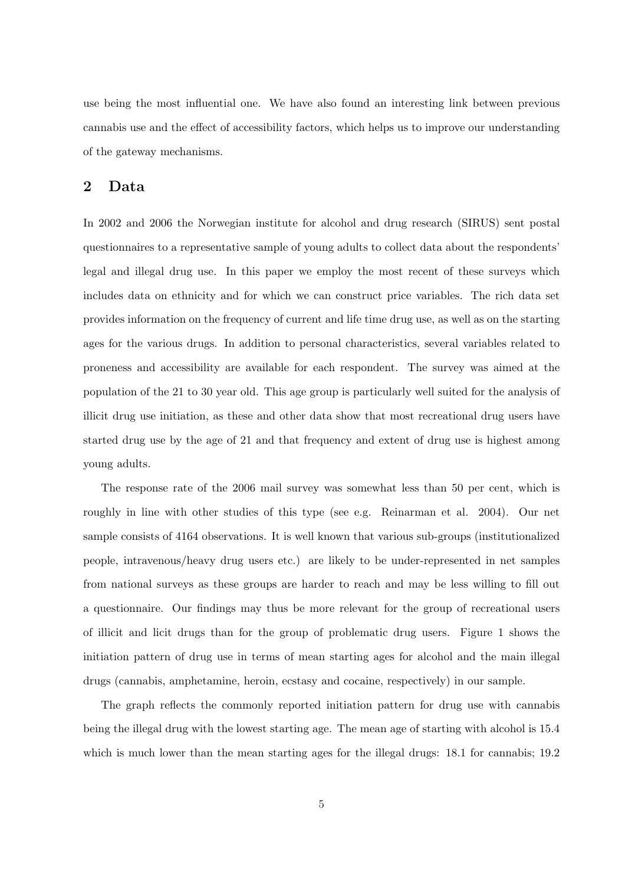use being the most influential one. We have also found an interesting link between previous cannabis use and the effect of accessibility factors, which helps us to improve our understanding of the gateway mechanisms.

### 2 Data

In 2002 and 2006 the Norwegian institute for alcohol and drug research (SIRUS) sent postal questionnaires to a representative sample of young adults to collect data about the respondents' legal and illegal drug use. In this paper we employ the most recent of these surveys which includes data on ethnicity and for which we can construct price variables. The rich data set provides information on the frequency of current and life time drug use, as well as on the starting ages for the various drugs. In addition to personal characteristics, several variables related to proneness and accessibility are available for each respondent. The survey was aimed at the population of the 21 to 30 year old. This age group is particularly well suited for the analysis of illicit drug use initiation, as these and other data show that most recreational drug users have started drug use by the age of 21 and that frequency and extent of drug use is highest among young adults.

The response rate of the 2006 mail survey was somewhat less than 50 per cent, which is roughly in line with other studies of this type (see e.g. Reinarman et al. 2004). Our net sample consists of 4164 observations. It is well known that various sub-groups (institutionalized people, intravenous/heavy drug users etc.) are likely to be under-represented in net samples from national surveys as these groups are harder to reach and may be less willing to fill out a questionnaire. Our findings may thus be more relevant for the group of recreational users of illicit and licit drugs than for the group of problematic drug users. Figure 1 shows the initiation pattern of drug use in terms of mean starting ages for alcohol and the main illegal drugs (cannabis, amphetamine, heroin, ecstasy and cocaine, respectively) in our sample.

The graph reflects the commonly reported initiation pattern for drug use with cannabis being the illegal drug with the lowest starting age. The mean age of starting with alcohol is 15.4 which is much lower than the mean starting ages for the illegal drugs: 18.1 for cannabis; 19.2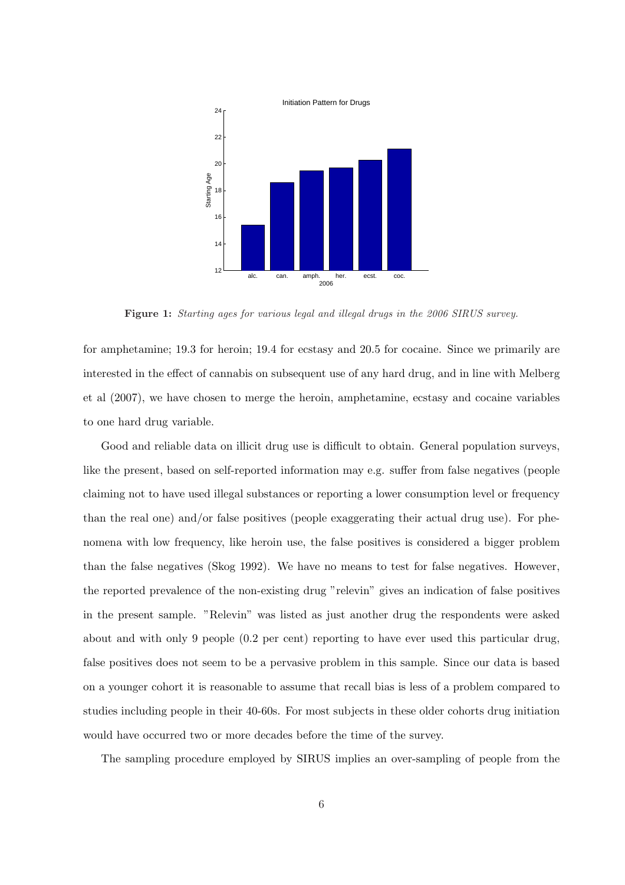

Figure 1: Starting ages for various legal and illegal drugs in the 2006 SIRUS survey.

for amphetamine; 19.3 for heroin; 19.4 for ecstasy and 20.5 for cocaine. Since we primarily are interested in the effect of cannabis on subsequent use of any hard drug, and in line with Melberg et al (2007), we have chosen to merge the heroin, amphetamine, ecstasy and cocaine variables to one hard drug variable.

Good and reliable data on illicit drug use is difficult to obtain. General population surveys, like the present, based on self-reported information may e.g. suffer from false negatives (people claiming not to have used illegal substances or reporting a lower consumption level or frequency than the real one) and/or false positives (people exaggerating their actual drug use). For phenomena with low frequency, like heroin use, the false positives is considered a bigger problem than the false negatives (Skog 1992). We have no means to test for false negatives. However, the reported prevalence of the non-existing drug "relevin" gives an indication of false positives in the present sample. "Relevin" was listed as just another drug the respondents were asked about and with only 9 people (0.2 per cent) reporting to have ever used this particular drug, false positives does not seem to be a pervasive problem in this sample. Since our data is based on a younger cohort it is reasonable to assume that recall bias is less of a problem compared to studies including people in their 40-60s. For most subjects in these older cohorts drug initiation would have occurred two or more decades before the time of the survey.

The sampling procedure employed by SIRUS implies an over-sampling of people from the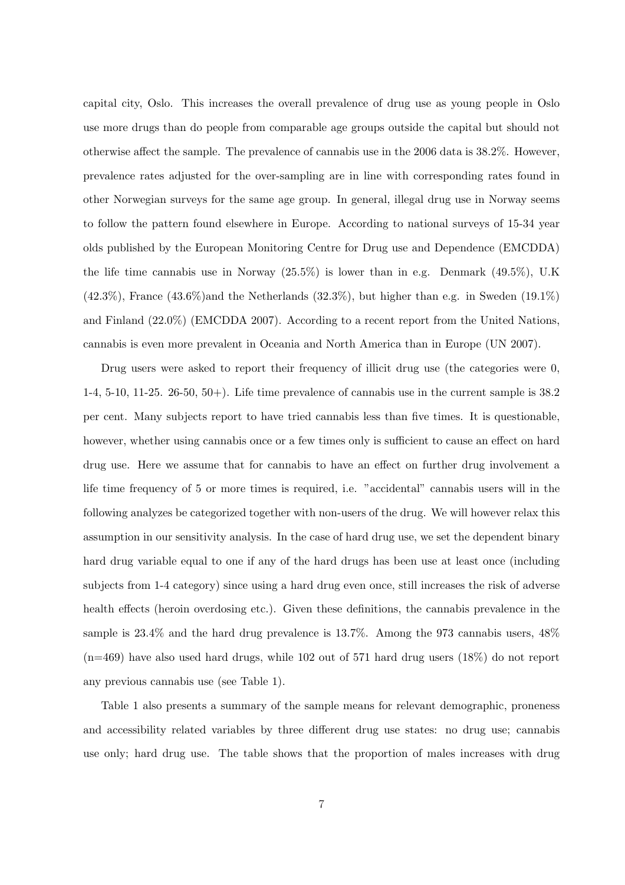capital city, Oslo. This increases the overall prevalence of drug use as young people in Oslo use more drugs than do people from comparable age groups outside the capital but should not otherwise affect the sample. The prevalence of cannabis use in the 2006 data is 38.2%. However, prevalence rates adjusted for the over-sampling are in line with corresponding rates found in other Norwegian surveys for the same age group. In general, illegal drug use in Norway seems to follow the pattern found elsewhere in Europe. According to national surveys of 15-34 year olds published by the European Monitoring Centre for Drug use and Dependence (EMCDDA) the life time cannabis use in Norway  $(25.5\%)$  is lower than in e.g. Denmark  $(49.5\%)$ , U.K  $(42.3\%)$ , France  $(43.6\%)$  and the Netherlands  $(32.3\%)$ , but higher than e.g. in Sweden  $(19.1\%)$ and Finland (22.0%) (EMCDDA 2007). According to a recent report from the United Nations, cannabis is even more prevalent in Oceania and North America than in Europe (UN 2007).

Drug users were asked to report their frequency of illicit drug use (the categories were 0,  $1-4$ ,  $5-10$ ,  $11-25$ .  $26-50$ ,  $50+$ ). Life time prevalence of cannabis use in the current sample is  $38.2$ per cent. Many subjects report to have tried cannabis less than five times. It is questionable, however, whether using cannabis once or a few times only is sufficient to cause an effect on hard drug use. Here we assume that for cannabis to have an effect on further drug involvement a life time frequency of 5 or more times is required, i.e. "accidental" cannabis users will in the following analyzes be categorized together with non-users of the drug. We will however relax this assumption in our sensitivity analysis. In the case of hard drug use, we set the dependent binary hard drug variable equal to one if any of the hard drugs has been use at least once (including subjects from 1-4 category) since using a hard drug even once, still increases the risk of adverse health effects (heroin overdosing etc.). Given these definitions, the cannabis prevalence in the sample is  $23.4\%$  and the hard drug prevalence is  $13.7\%$ . Among the 973 cannabis users,  $48\%$ (n=469) have also used hard drugs, while 102 out of 571 hard drug users (18%) do not report any previous cannabis use (see Table 1).

Table 1 also presents a summary of the sample means for relevant demographic, proneness and accessibility related variables by three different drug use states: no drug use; cannabis use only; hard drug use. The table shows that the proportion of males increases with drug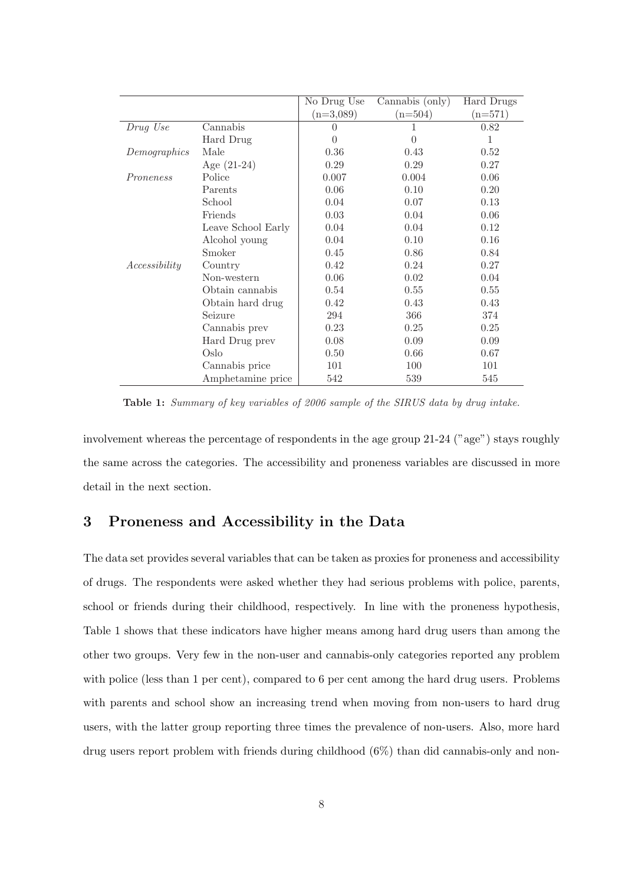|               |                    | No Drug Use      | Cannabis (only) | Hard Drugs |
|---------------|--------------------|------------------|-----------------|------------|
|               |                    | $(n=3,089)$      | $(n=504)$       | $(n=571)$  |
| Drug Use      | Cannabis           | $\left( \right)$ | 1               | 0.82       |
|               | Hard Drug          | $\theta$         | $\overline{0}$  | 1          |
| Demographics  | Male               | 0.36             | 0.43            | 0.52       |
|               | Age $(21-24)$      | 0.29             | 0.29            | 0.27       |
| Proneness     | Police             | 0.007            | 0.004           | 0.06       |
|               | Parents            | 0.06             | 0.10            | 0.20       |
|               | School             | 0.04             | 0.07            | 0.13       |
|               | Friends            | 0.03             | 0.04            | 0.06       |
|               | Leave School Early | 0.04             | 0.04            | 0.12       |
|               | Alcohol young      | 0.04             | 0.10            | 0.16       |
|               | Smoker             | 0.45             | 0.86            | 0.84       |
| Accessibility | Country            | 0.42             | 0.24            | 0.27       |
|               | Non-western        | 0.06             | 0.02            | 0.04       |
|               | Obtain cannabis    | 0.54             | 0.55            | 0.55       |
|               | Obtain hard drug   | 0.42             | 0.43            | 0.43       |
|               | Seizure            | 294              | 366             | 374        |
|               | Cannabis prev      | 0.23             | 0.25            | 0.25       |
|               | Hard Drug prev     | 0.08             | 0.09            | 0.09       |
|               | Oslo               | 0.50             | 0.66            | 0.67       |
|               | Cannabis price     | 101              | 100             | 101        |
|               | Amphetamine price  | 542              | 539             | 545        |

Table 1: Summary of key variables of 2006 sample of the SIRUS data by drug intake.

involvement whereas the percentage of respondents in the age group 21-24 ("age") stays roughly the same across the categories. The accessibility and proneness variables are discussed in more detail in the next section.

### 3 Proneness and Accessibility in the Data

The data set provides several variables that can be taken as proxies for proneness and accessibility of drugs. The respondents were asked whether they had serious problems with police, parents, school or friends during their childhood, respectively. In line with the proneness hypothesis, Table 1 shows that these indicators have higher means among hard drug users than among the other two groups. Very few in the non-user and cannabis-only categories reported any problem with police (less than 1 per cent), compared to 6 per cent among the hard drug users. Problems with parents and school show an increasing trend when moving from non-users to hard drug users, with the latter group reporting three times the prevalence of non-users. Also, more hard drug users report problem with friends during childhood (6%) than did cannabis-only and non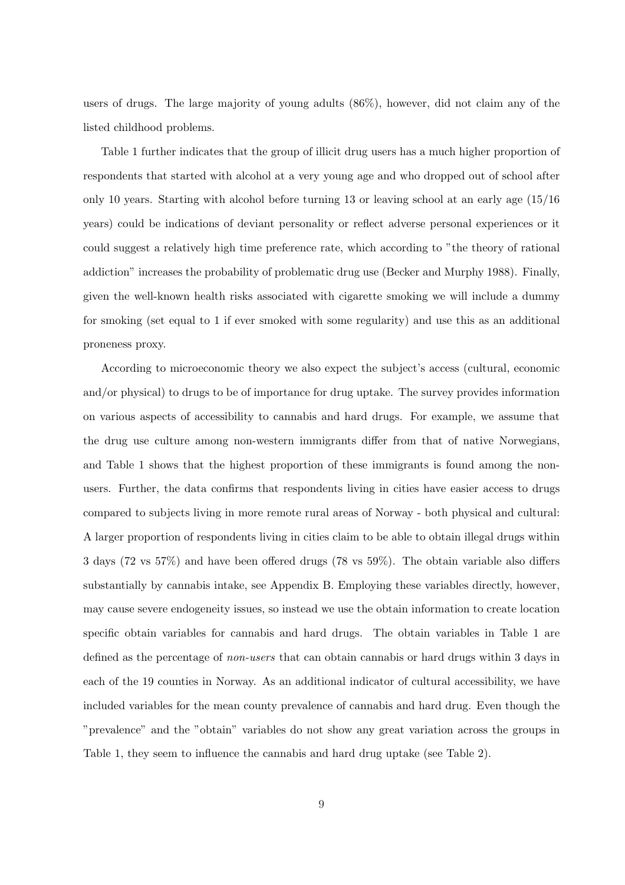users of drugs. The large majority of young adults (86%), however, did not claim any of the listed childhood problems.

Table 1 further indicates that the group of illicit drug users has a much higher proportion of respondents that started with alcohol at a very young age and who dropped out of school after only 10 years. Starting with alcohol before turning 13 or leaving school at an early age (15/16 years) could be indications of deviant personality or reflect adverse personal experiences or it could suggest a relatively high time preference rate, which according to "the theory of rational addiction" increases the probability of problematic drug use (Becker and Murphy 1988). Finally, given the well-known health risks associated with cigarette smoking we will include a dummy for smoking (set equal to 1 if ever smoked with some regularity) and use this as an additional proneness proxy.

According to microeconomic theory we also expect the subject's access (cultural, economic and/or physical) to drugs to be of importance for drug uptake. The survey provides information on various aspects of accessibility to cannabis and hard drugs. For example, we assume that the drug use culture among non-western immigrants differ from that of native Norwegians, and Table 1 shows that the highest proportion of these immigrants is found among the nonusers. Further, the data confirms that respondents living in cities have easier access to drugs compared to subjects living in more remote rural areas of Norway - both physical and cultural: A larger proportion of respondents living in cities claim to be able to obtain illegal drugs within 3 days (72 vs 57%) and have been offered drugs (78 vs 59%). The obtain variable also differs substantially by cannabis intake, see Appendix B. Employing these variables directly, however, may cause severe endogeneity issues, so instead we use the obtain information to create location specific obtain variables for cannabis and hard drugs. The obtain variables in Table 1 are defined as the percentage of *non-users* that can obtain cannabis or hard drugs within 3 days in each of the 19 counties in Norway. As an additional indicator of cultural accessibility, we have included variables for the mean county prevalence of cannabis and hard drug. Even though the "prevalence" and the "obtain" variables do not show any great variation across the groups in Table 1, they seem to influence the cannabis and hard drug uptake (see Table 2).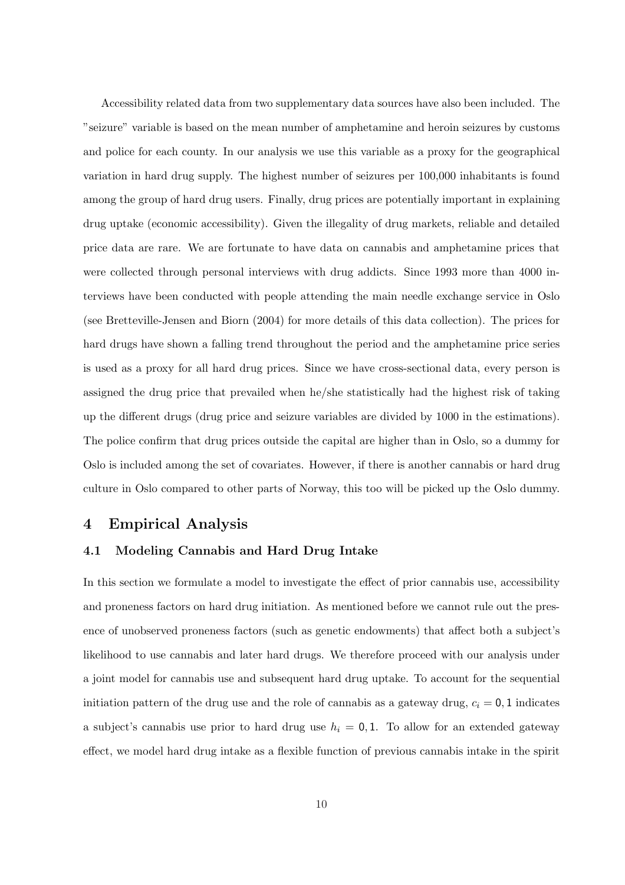Accessibility related data from two supplementary data sources have also been included. The "seizure" variable is based on the mean number of amphetamine and heroin seizures by customs and police for each county. In our analysis we use this variable as a proxy for the geographical variation in hard drug supply. The highest number of seizures per 100,000 inhabitants is found among the group of hard drug users. Finally, drug prices are potentially important in explaining drug uptake (economic accessibility). Given the illegality of drug markets, reliable and detailed price data are rare. We are fortunate to have data on cannabis and amphetamine prices that were collected through personal interviews with drug addicts. Since 1993 more than 4000 interviews have been conducted with people attending the main needle exchange service in Oslo (see Bretteville-Jensen and Biorn (2004) for more details of this data collection). The prices for hard drugs have shown a falling trend throughout the period and the amphetamine price series is used as a proxy for all hard drug prices. Since we have cross-sectional data, every person is assigned the drug price that prevailed when he/she statistically had the highest risk of taking up the different drugs (drug price and seizure variables are divided by 1000 in the estimations). The police confirm that drug prices outside the capital are higher than in Oslo, so a dummy for Oslo is included among the set of covariates. However, if there is another cannabis or hard drug culture in Oslo compared to other parts of Norway, this too will be picked up the Oslo dummy.

### 4 Empirical Analysis

### 4.1 Modeling Cannabis and Hard Drug Intake

In this section we formulate a model to investigate the effect of prior cannabis use, accessibility and proneness factors on hard drug initiation. As mentioned before we cannot rule out the presence of unobserved proneness factors (such as genetic endowments) that affect both a subject's likelihood to use cannabis and later hard drugs. We therefore proceed with our analysis under a joint model for cannabis use and subsequent hard drug uptake. To account for the sequential initiation pattern of the drug use and the role of cannabis as a gateway drug,  $c_i = 0, 1$  indicates a subject's cannabis use prior to hard drug use  $h_i = 0, 1$ . To allow for an extended gateway effect, we model hard drug intake as a flexible function of previous cannabis intake in the spirit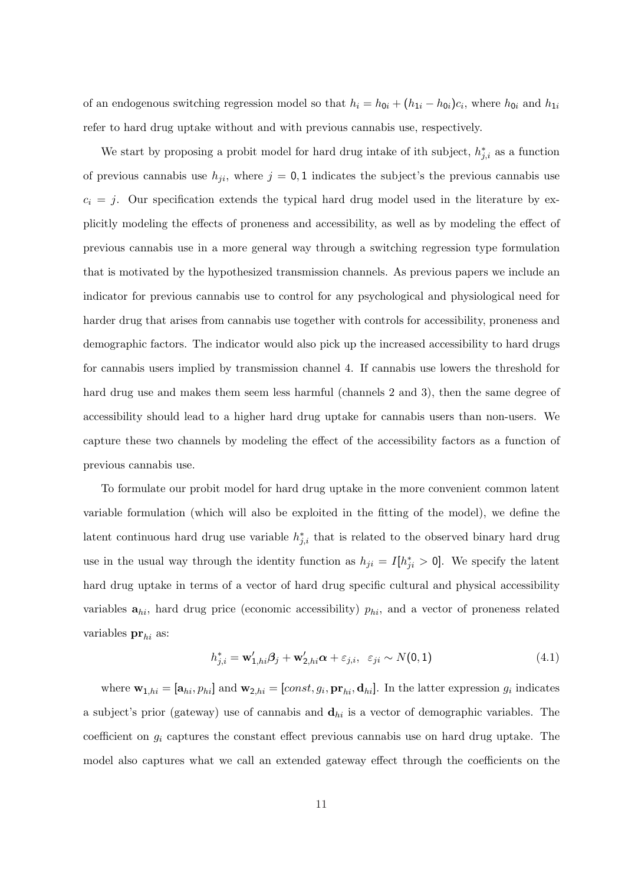of an endogenous switching regression model so that  $h_i = h_{0i} + (h_{1i} - h_{0i})c_i$ , where  $h_{0i}$  and  $h_{1i}$ refer to hard drug uptake without and with previous cannabis use, respectively.

We start by proposing a probit model for hard drug intake of ith subject,  $h_{j,i}^*$  as a function of previous cannabis use  $h_{ji}$ , where  $j = 0, 1$  indicates the subject's the previous cannabis use  $c_i = j$ . Our specification extends the typical hard drug model used in the literature by explicitly modeling the effects of proneness and accessibility, as well as by modeling the effect of previous cannabis use in a more general way through a switching regression type formulation that is motivated by the hypothesized transmission channels. As previous papers we include an indicator for previous cannabis use to control for any psychological and physiological need for harder drug that arises from cannabis use together with controls for accessibility, proneness and demographic factors. The indicator would also pick up the increased accessibility to hard drugs for cannabis users implied by transmission channel 4. If cannabis use lowers the threshold for hard drug use and makes them seem less harmful (channels 2 and 3), then the same degree of accessibility should lead to a higher hard drug uptake for cannabis users than non-users. We capture these two channels by modeling the effect of the accessibility factors as a function of previous cannabis use.

To formulate our probit model for hard drug uptake in the more convenient common latent variable formulation (which will also be exploited in the fitting of the model), we define the latent continuous hard drug use variable  $h_{j,i}^*$  that is related to the observed binary hard drug use in the usual way through the identity function as  $h_{ji} = I[h_{ji}^* > 0]$ . We specify the latent hard drug uptake in terms of a vector of hard drug specific cultural and physical accessibility variables  $a_{hi}$ , hard drug price (economic accessibility)  $p_{hi}$ , and a vector of proneness related variables  $\mathbf{pr}_{hi}$  as:

$$
h_{j,i}^* = \mathbf{w}'_{1,hi}\boldsymbol{\beta}_j + \mathbf{w}'_{2,hi}\boldsymbol{\alpha} + \varepsilon_{j,i}, \quad \varepsilon_{ji} \sim N(0,1)
$$
\n(4.1)

where  $\mathbf{w}_{1,hi} = [\mathbf{a}_{hi}, p_{hi}]$  and  $\mathbf{w}_{2,hi} = [const, g_i, \mathbf{pr}_{hi}, \mathbf{d}_{hi}]$ . In the latter expression  $g_i$  indicates a subject's prior (gateway) use of cannabis and  $\mathbf{d}_{hi}$  is a vector of demographic variables. The coefficient on  $g_i$  captures the constant effect previous cannabis use on hard drug uptake. The model also captures what we call an extended gateway effect through the coefficients on the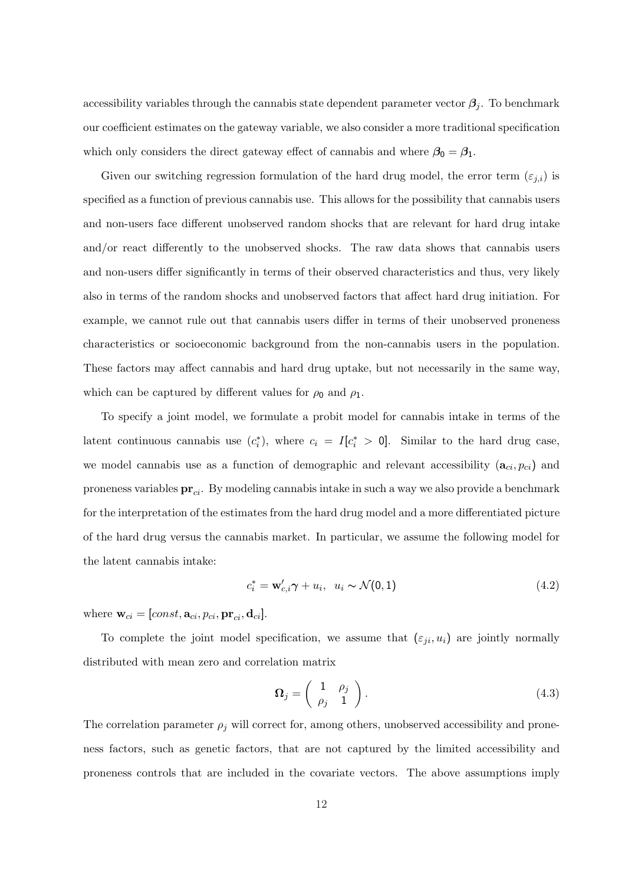accessibility variables through the cannabis state dependent parameter vector  $\beta_j$ . To benchmark our coefficient estimates on the gateway variable, we also consider a more traditional specification which only considers the direct gateway effect of cannabis and where  $\beta_0 = \beta_1$ .

Given our switching regression formulation of the hard drug model, the error term  $(\varepsilon_{j,i})$  is specified as a function of previous cannabis use. This allows for the possibility that cannabis users and non-users face different unobserved random shocks that are relevant for hard drug intake and/or react differently to the unobserved shocks. The raw data shows that cannabis users and non-users differ significantly in terms of their observed characteristics and thus, very likely also in terms of the random shocks and unobserved factors that affect hard drug initiation. For example, we cannot rule out that cannabis users differ in terms of their unobserved proneness characteristics or socioeconomic background from the non-cannabis users in the population. These factors may affect cannabis and hard drug uptake, but not necessarily in the same way, which can be captured by different values for  $\rho_0$  and  $\rho_1$ .

To specify a joint model, we formulate a probit model for cannabis intake in terms of the latent continuous cannabis use  $(c_i^*)$ , where  $c_i = I[c_i^* > 0]$ . Similar to the hard drug case, we model cannabis use as a function of demographic and relevant accessibility  $(a_{ci}, p_{ci})$  and proneness variables  $\mathbf{pr}_{ci}$ . By modeling cannabis intake in such a way we also provide a benchmark for the interpretation of the estimates from the hard drug model and a more differentiated picture of the hard drug versus the cannabis market. In particular, we assume the following model for the latent cannabis intake:

$$
c_i^* = \mathbf{w}'_{c,i}\boldsymbol{\gamma} + u_i, \ \ u_i \sim \mathcal{N}(0,1) \tag{4.2}
$$

where  $\mathbf{w}_{ci} = [const, \mathbf{a}_{ci}, p_{ci}, \mathbf{pr}_{ci}, \mathbf{d}_{ci}]$ .

To complete the joint model specification, we assume that  $(\varepsilon_{ji}, u_i)$  are jointly normally distributed with mean zero and correlation matrix

$$
\Omega_j = \left(\begin{array}{cc} 1 & \rho_j \\ \rho_j & 1 \end{array}\right). \tag{4.3}
$$

The correlation parameter  $\rho_j$  will correct for, among others, unobserved accessibility and proneness factors, such as genetic factors, that are not captured by the limited accessibility and proneness controls that are included in the covariate vectors. The above assumptions imply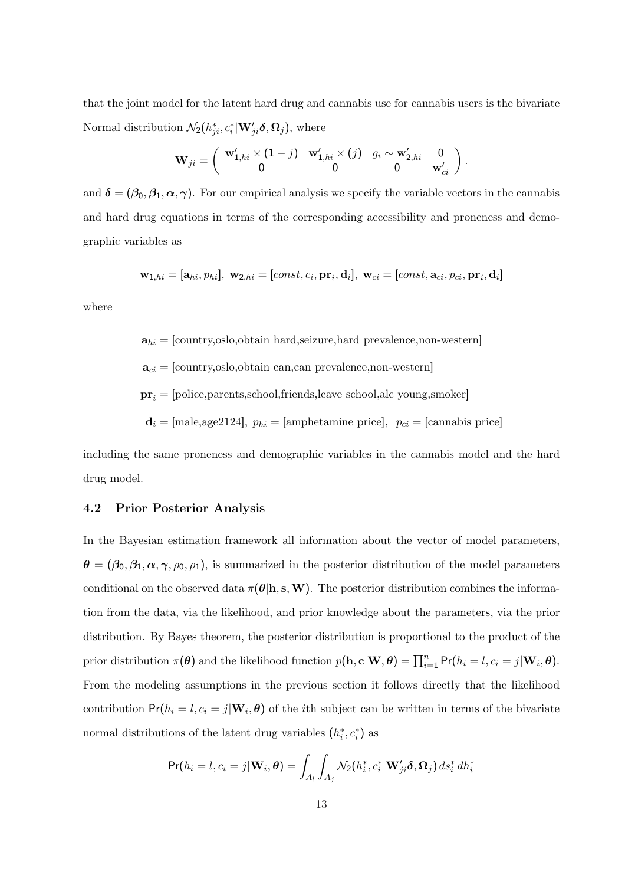that the joint model for the latent hard drug and cannabis use for cannabis users is the bivariate Normal distribution  $\mathcal{N}_2(h_{ji}^*, c_i^* | \mathbf{W}_{ji}' \boldsymbol{\delta}, \mathbf{\Omega}_j)$ , where

$$
\mathbf{W}_{ji} = \left( \begin{array}{cc} \mathbf{w}'_{1,hi} \times (1-j) & \mathbf{w}'_{1,hi} \times (j) & g_i \sim \mathbf{w}'_{2,hi} & 0 \\ 0 & 0 & 0 & \mathbf{w}'_{ci} \end{array} \right).
$$

and  $\delta = (\beta_0, \beta_1, \alpha, \gamma)$ . For our empirical analysis we specify the variable vectors in the cannabis and hard drug equations in terms of the corresponding accessibility and proneness and demographic variables as

 $\mathbf{w}_{1,hi} = [\mathbf{a}_{hi}, p_{hi}], \ \mathbf{w}_{2,hi} = [const, c_i, \mathbf{pr}_i, \mathbf{d}_i], \ \mathbf{w}_{ci} = [const, \mathbf{a}_{ci}, p_{ci}, \mathbf{pr}_i, \mathbf{d}_i]$ 

where

 $\mathbf{a}_{hi} = [\text{country}, \text{oslo}, \text{obtain hard}, \text{seizure}, \text{hard prevalence}, \text{non-western}]$ 

 $\mathbf{a}_{ci} = [\text{country}, \text{oslo}, \text{obtain can}, \text{can prevalence}, \text{non-western}]$ 

 $pr_i =$ [police,parents,school,friends,leave school,alc young,smoker]

 $\mathbf{d}_i =$  [male,age2124],  $p_{hi}$  = [amphetamine price],  $p_{ci}$  = [cannabis price]

including the same proneness and demographic variables in the cannabis model and the hard drug model.

#### 4.2 Prior Posterior Analysis

In the Bayesian estimation framework all information about the vector of model parameters,  $\theta = (\beta_0, \beta_1, \alpha, \gamma, \rho_0, \rho_1)$ , is summarized in the posterior distribution of the model parameters conditional on the observed data  $\pi(\theta | h, s, W)$ . The posterior distribution combines the information from the data, via the likelihood, and prior knowledge about the parameters, via the prior distribution. By Bayes theorem, the posterior distribution is proportional to the product of the prior distribution  $\pi(\theta)$  and the likelihood function  $p(\mathbf{h}, \mathbf{c} | \mathbf{W}, \theta) = \prod_{i=1}^{n} Pr(h_i = l, c_i = j | \mathbf{W}_i, \theta)$ . From the modeling assumptions in the previous section it follows directly that the likelihood contribution  $Pr(h_i = l, c_i = j | \mathbf{W}_i, \boldsymbol{\theta})$  of the *i*th subject can be written in terms of the bivariate normal distributions of the latent drug variables  $(h_i^*, c_i^*)$  as

$$
Pr(h_i = l, c_i = j | \mathbf{W}_i, \boldsymbol{\theta}) = \int_{A_l} \int_{A_j} \mathcal{N}_2(h_i^*, c_i^* | \mathbf{W}'_{ji} \boldsymbol{\delta}, \Omega_j) ds_i^* dh_i^*
$$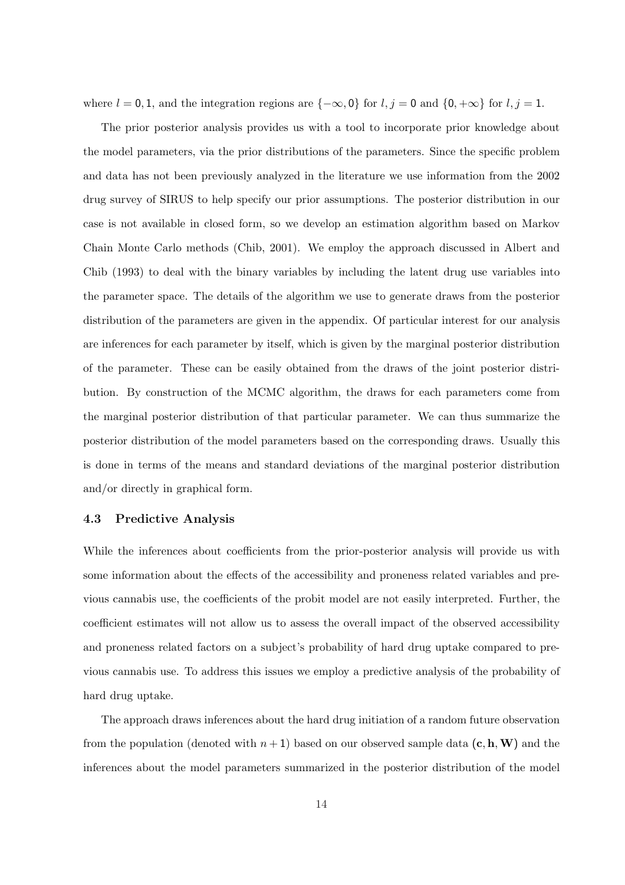where  $l = 0, 1$ , and the integration regions are  $\{-\infty, 0\}$  for  $l, j = 0$  and  $\{0, +\infty\}$  for  $l, j = 1$ .

The prior posterior analysis provides us with a tool to incorporate prior knowledge about the model parameters, via the prior distributions of the parameters. Since the specific problem and data has not been previously analyzed in the literature we use information from the 2002 drug survey of SIRUS to help specify our prior assumptions. The posterior distribution in our case is not available in closed form, so we develop an estimation algorithm based on Markov Chain Monte Carlo methods (Chib, 2001). We employ the approach discussed in Albert and Chib (1993) to deal with the binary variables by including the latent drug use variables into the parameter space. The details of the algorithm we use to generate draws from the posterior distribution of the parameters are given in the appendix. Of particular interest for our analysis are inferences for each parameter by itself, which is given by the marginal posterior distribution of the parameter. These can be easily obtained from the draws of the joint posterior distribution. By construction of the MCMC algorithm, the draws for each parameters come from the marginal posterior distribution of that particular parameter. We can thus summarize the posterior distribution of the model parameters based on the corresponding draws. Usually this is done in terms of the means and standard deviations of the marginal posterior distribution and/or directly in graphical form.

#### 4.3 Predictive Analysis

While the inferences about coefficients from the prior-posterior analysis will provide us with some information about the effects of the accessibility and proneness related variables and previous cannabis use, the coefficients of the probit model are not easily interpreted. Further, the coefficient estimates will not allow us to assess the overall impact of the observed accessibility and proneness related factors on a subject's probability of hard drug uptake compared to previous cannabis use. To address this issues we employ a predictive analysis of the probability of hard drug uptake.

The approach draws inferences about the hard drug initiation of a random future observation from the population (denoted with  $n+1$ ) based on our observed sample data  $(c, h, W)$  and the inferences about the model parameters summarized in the posterior distribution of the model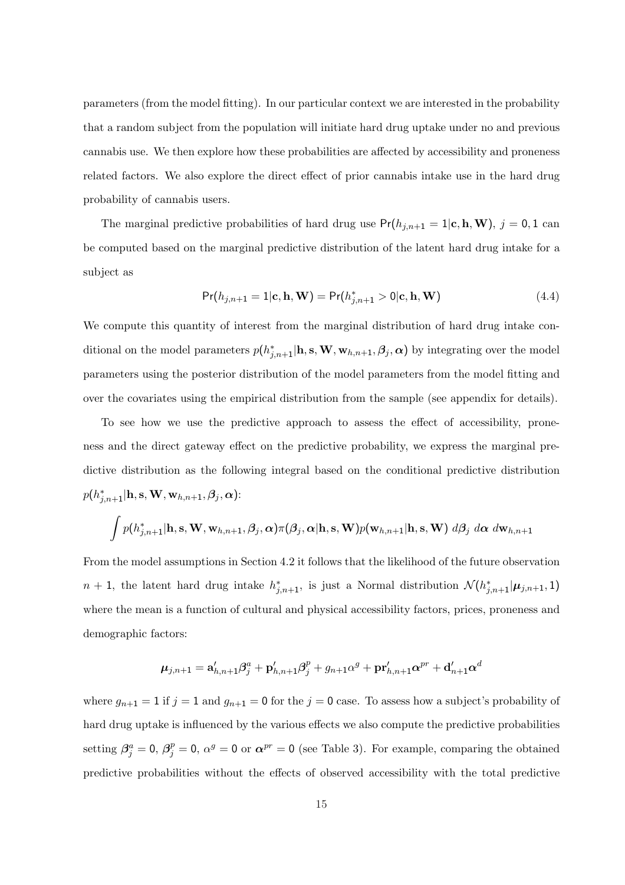parameters (from the model fitting). In our particular context we are interested in the probability that a random subject from the population will initiate hard drug uptake under no and previous cannabis use. We then explore how these probabilities are affected by accessibility and proneness related factors. We also explore the direct effect of prior cannabis intake use in the hard drug probability of cannabis users.

The marginal predictive probabilities of hard drug use  $Pr(h_{j,n+1} = 1 | c, h, W), j = 0, 1$  can be computed based on the marginal predictive distribution of the latent hard drug intake for a subject as

$$
Pr(h_{j,n+1} = 1 | \mathbf{c}, \mathbf{h}, \mathbf{W}) = Pr(h_{j,n+1}^* > 0 | \mathbf{c}, \mathbf{h}, \mathbf{W})
$$
\n(4.4)

We compute this quantity of interest from the marginal distribution of hard drug intake conditional on the model parameters  $p(h_{j,n+1}^*|\mathbf{h}, \mathbf{s}, \mathbf{W}, \mathbf{w}_{h,n+1}, \beta_j, \alpha)$  by integrating over the model parameters using the posterior distribution of the model parameters from the model fitting and over the covariates using the empirical distribution from the sample (see appendix for details).

To see how we use the predictive approach to assess the effect of accessibility, proneness and the direct gateway effect on the predictive probability, we express the marginal predictive distribution as the following integral based on the conditional predictive distribution  $p(h_{j,n+1}^*|\mathbf{h}, \mathbf{s}, \mathbf{W}, \mathbf{w}_{h,n+1}, \boldsymbol{\beta}_j, \boldsymbol{\alpha})$ :

$$
\int p(h_{j,n+1}^*|\mathbf{h}, \mathbf{s}, \mathbf{W}, \mathbf{w}_{h,n+1}, \beta_j, \alpha) \pi(\beta_j, \alpha | \mathbf{h}, \mathbf{s}, \mathbf{W}) p(\mathbf{w}_{h,n+1}|\mathbf{h}, \mathbf{s}, \mathbf{W}) d\beta_j d\alpha d\mathbf{w}_{h,n+1}
$$

From the model assumptions in Section 4.2 it follows that the likelihood of the future observation  $n+1$ , the latent hard drug intake  $h_{j,n+1}^*$ , is just a Normal distribution  $\mathcal{N}(h_{j,n+1}^*|\mu_{j,n+1}, 1)$ where the mean is a function of cultural and physical accessibility factors, prices, proneness and demographic factors:

$$
\boldsymbol{\mu}_{j,n+1} = \mathbf{a}_{h,n+1}'\boldsymbol{\beta}_j^a + \mathbf{p}_{h,n+1}'\boldsymbol{\beta}_j^p + g_{n+1}\alpha^g + \mathbf{pr}_{h,n+1}'\boldsymbol{\alpha}^{pr} + \mathbf{d}_{n+1}'\boldsymbol{\alpha}^d
$$

where  $g_{n+1} = 1$  if  $j = 1$  and  $g_{n+1} = 0$  for the  $j = 0$  case. To assess how a subject's probability of hard drug uptake is influenced by the various effects we also compute the predictive probabilities setting  $\beta_j^a = 0$ ,  $\beta_j^p = 0$ ,  $\alpha^g = 0$  or  $\alpha^{pr} = 0$  (see Table 3). For example, comparing the obtained predictive probabilities without the effects of observed accessibility with the total predictive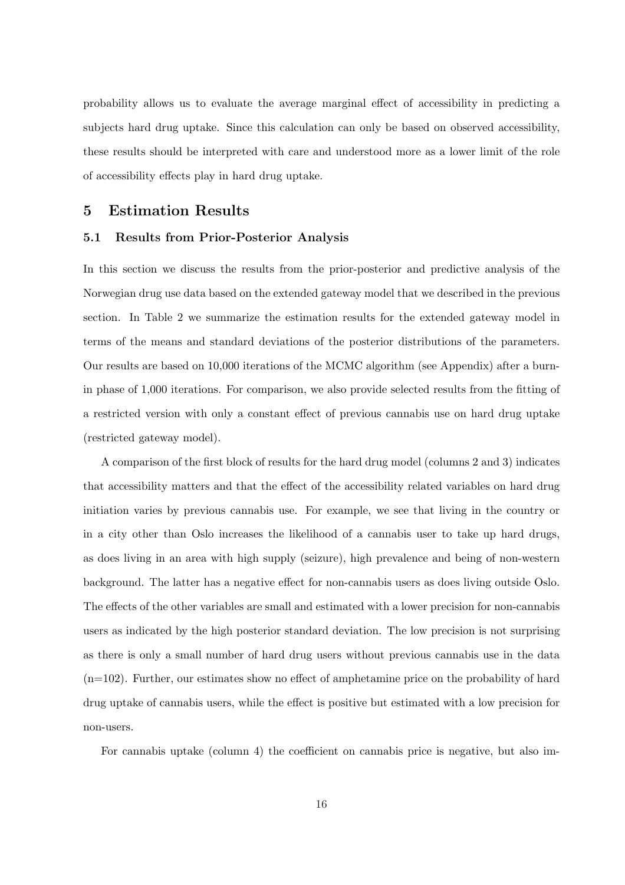probability allows us to evaluate the average marginal effect of accessibility in predicting a subjects hard drug uptake. Since this calculation can only be based on observed accessibility, these results should be interpreted with care and understood more as a lower limit of the role of accessibility effects play in hard drug uptake.

### 5 Estimation Results

#### 5.1 Results from Prior-Posterior Analysis

In this section we discuss the results from the prior-posterior and predictive analysis of the Norwegian drug use data based on the extended gateway model that we described in the previous section. In Table 2 we summarize the estimation results for the extended gateway model in terms of the means and standard deviations of the posterior distributions of the parameters. Our results are based on 10,000 iterations of the MCMC algorithm (see Appendix) after a burnin phase of 1,000 iterations. For comparison, we also provide selected results from the fitting of a restricted version with only a constant effect of previous cannabis use on hard drug uptake (restricted gateway model).

A comparison of the first block of results for the hard drug model (columns 2 and 3) indicates that accessibility matters and that the effect of the accessibility related variables on hard drug initiation varies by previous cannabis use. For example, we see that living in the country or in a city other than Oslo increases the likelihood of a cannabis user to take up hard drugs, as does living in an area with high supply (seizure), high prevalence and being of non-western background. The latter has a negative effect for non-cannabis users as does living outside Oslo. The effects of the other variables are small and estimated with a lower precision for non-cannabis users as indicated by the high posterior standard deviation. The low precision is not surprising as there is only a small number of hard drug users without previous cannabis use in the data  $(n=102)$ . Further, our estimates show no effect of amphetamine price on the probability of hard drug uptake of cannabis users, while the effect is positive but estimated with a low precision for non-users.

For cannabis uptake (column 4) the coefficient on cannabis price is negative, but also im-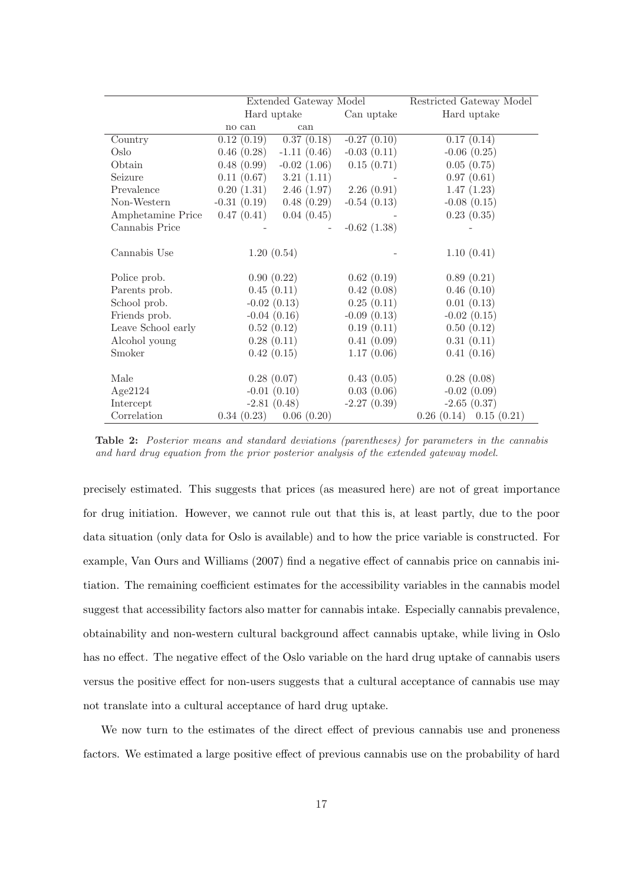|                    | Extended Gateway Model |               | Restricted Gateway Model |                           |
|--------------------|------------------------|---------------|--------------------------|---------------------------|
|                    |                        | Hard uptake   | Can uptake               | Hard uptake               |
|                    | no can                 | can           |                          |                           |
| Country            | 0.12(0.19)             | 0.37(0.18)    | $-0.27(0.10)$            | 0.17(0.14)                |
| Oslo               | 0.46(0.28)             | $-1.11(0.46)$ | $-0.03(0.11)$            | $-0.06$ $(0.25)$          |
| Obtain             | 0.48(0.99)             | $-0.02(1.06)$ | 0.15(0.71)               | 0.05(0.75)                |
| Seizure            | 0.11(0.67)             | 3.21(1.11)    |                          | 0.97(0.61)                |
| Prevalence         | 0.20(1.31)             | 2.46(1.97)    | 2.26(0.91)               | 1.47(1.23)                |
| Non-Western        | $-0.31(0.19)$          | 0.48(0.29)    | $-0.54(0.13)$            | $-0.08$ $(0.15)$          |
| Amphetamine Price  | 0.47(0.41)             | 0.04(0.45)    |                          | 0.23(0.35)                |
| Cannabis Price     |                        |               | $-0.62(1.38)$            |                           |
| Cannabis Use       | 1.20(0.54)             |               |                          | 1.10(0.41)                |
| Police prob.       | 0.90(0.22)             |               | 0.62(0.19)               | 0.89(0.21)                |
| Parents prob.      | 0.45(0.11)             |               | 0.42(0.08)               | 0.46(0.10)                |
| School prob.       | $-0.02(0.13)$          |               | 0.25(0.11)               | 0.01(0.13)                |
| Friends prob.      | $-0.04(0.16)$          |               | $-0.09(0.13)$            | $-0.02(0.15)$             |
| Leave School early | 0.52(0.12)             |               | 0.19(0.11)               | 0.50(0.12)                |
| Alcohol young      | 0.28(0.11)             |               | 0.41(0.09)               | 0.31(0.11)                |
| Smoker             | 0.42(0.15)             |               | 1.17(0.06)               | 0.41(0.16)                |
| Male               | 0.28(0.07)             |               | 0.43(0.05)               | 0.28(0.08)                |
| Age2124            | $-0.01(0.10)$          |               | 0.03(0.06)               | $-0.02(0.09)$             |
| Intercept          | $-2.81(0.48)$          |               | $-2.27(0.39)$            | $-2.65(0.37)$             |
| Correlation        | 0.34(0.23)             | 0.06(0.20)    |                          | $0.26(0.14)$ $0.15(0.21)$ |

Table 2: Posterior means and standard deviations (parentheses) for parameters in the cannabis and hard drug equation from the prior posterior analysis of the extended gateway model.

precisely estimated. This suggests that prices (as measured here) are not of great importance for drug initiation. However, we cannot rule out that this is, at least partly, due to the poor data situation (only data for Oslo is available) and to how the price variable is constructed. For example, Van Ours and Williams (2007) find a negative effect of cannabis price on cannabis initiation. The remaining coefficient estimates for the accessibility variables in the cannabis model suggest that accessibility factors also matter for cannabis intake. Especially cannabis prevalence, obtainability and non-western cultural background affect cannabis uptake, while living in Oslo has no effect. The negative effect of the Oslo variable on the hard drug uptake of cannabis users versus the positive effect for non-users suggests that a cultural acceptance of cannabis use may not translate into a cultural acceptance of hard drug uptake.

We now turn to the estimates of the direct effect of previous cannabis use and proneness factors. We estimated a large positive effect of previous cannabis use on the probability of hard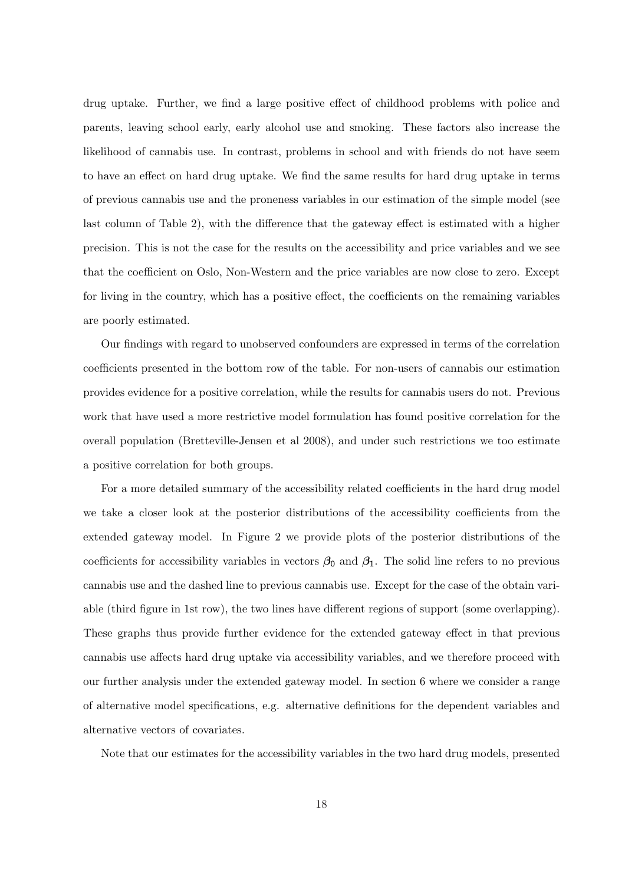drug uptake. Further, we find a large positive effect of childhood problems with police and parents, leaving school early, early alcohol use and smoking. These factors also increase the likelihood of cannabis use. In contrast, problems in school and with friends do not have seem to have an effect on hard drug uptake. We find the same results for hard drug uptake in terms of previous cannabis use and the proneness variables in our estimation of the simple model (see last column of Table 2), with the difference that the gateway effect is estimated with a higher precision. This is not the case for the results on the accessibility and price variables and we see that the coefficient on Oslo, Non-Western and the price variables are now close to zero. Except for living in the country, which has a positive effect, the coefficients on the remaining variables are poorly estimated.

Our findings with regard to unobserved confounders are expressed in terms of the correlation coefficients presented in the bottom row of the table. For non-users of cannabis our estimation provides evidence for a positive correlation, while the results for cannabis users do not. Previous work that have used a more restrictive model formulation has found positive correlation for the overall population (Bretteville-Jensen et al 2008), and under such restrictions we too estimate a positive correlation for both groups.

For a more detailed summary of the accessibility related coefficients in the hard drug model we take a closer look at the posterior distributions of the accessibility coefficients from the extended gateway model. In Figure 2 we provide plots of the posterior distributions of the coefficients for accessibility variables in vectors  $\beta_0$  and  $\beta_1$ . The solid line refers to no previous cannabis use and the dashed line to previous cannabis use. Except for the case of the obtain variable (third figure in 1st row), the two lines have different regions of support (some overlapping). These graphs thus provide further evidence for the extended gateway effect in that previous cannabis use affects hard drug uptake via accessibility variables, and we therefore proceed with our further analysis under the extended gateway model. In section 6 where we consider a range of alternative model specifications, e.g. alternative definitions for the dependent variables and alternative vectors of covariates.

Note that our estimates for the accessibility variables in the two hard drug models, presented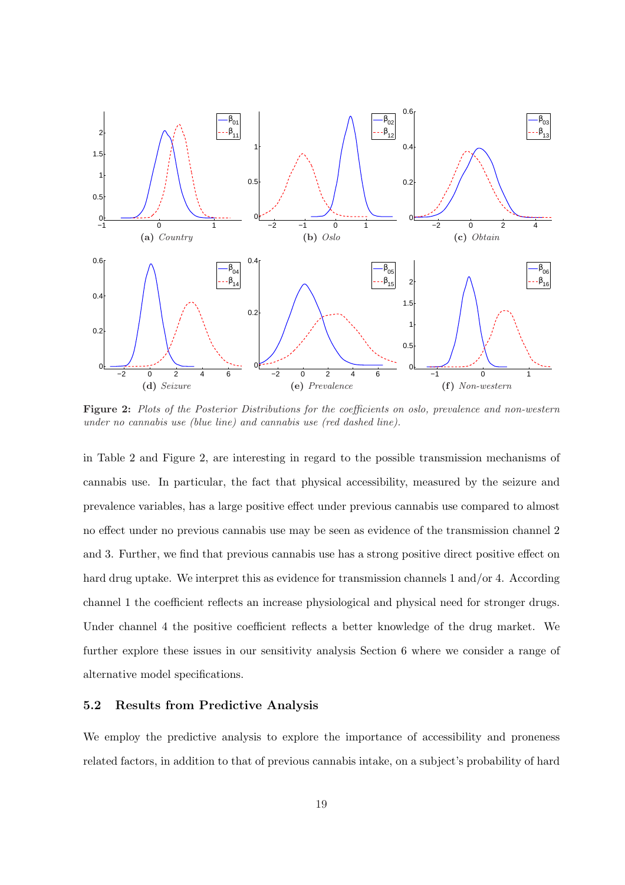

Figure 2: Plots of the Posterior Distributions for the coefficients on oslo, prevalence and non-western under no cannabis use (blue line) and cannabis use (red dashed line).

in Table 2 and Figure 2, are interesting in regard to the possible transmission mechanisms of cannabis use. In particular, the fact that physical accessibility, measured by the seizure and prevalence variables, has a large positive effect under previous cannabis use compared to almost no effect under no previous cannabis use may be seen as evidence of the transmission channel 2 and 3. Further, we find that previous cannabis use has a strong positive direct positive effect on hard drug uptake. We interpret this as evidence for transmission channels 1 and/or 4. According channel 1 the coefficient reflects an increase physiological and physical need for stronger drugs. Under channel 4 the positive coefficient reflects a better knowledge of the drug market. We further explore these issues in our sensitivity analysis Section 6 where we consider a range of alternative model specifications.

### 5.2 Results from Predictive Analysis

We employ the predictive analysis to explore the importance of accessibility and proneness related factors, in addition to that of previous cannabis intake, on a subject's probability of hard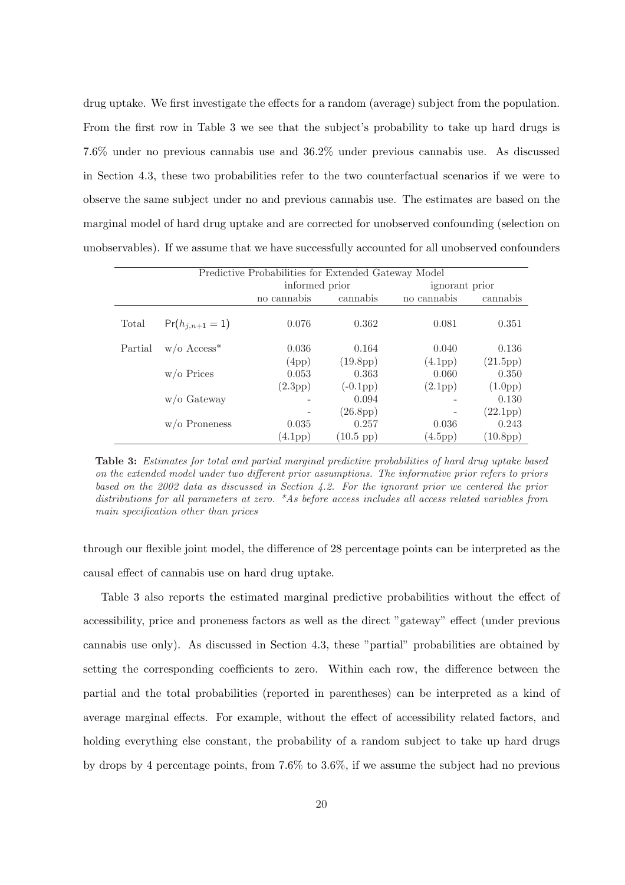drug uptake. We first investigate the effects for a random (average) subject from the population. From the first row in Table 3 we see that the subject's probability to take up hard drugs is 7.6% under no previous cannabis use and 36.2% under previous cannabis use. As discussed in Section 4.3, these two probabilities refer to the two counterfactual scenarios if we were to observe the same subject under no and previous cannabis use. The estimates are based on the marginal model of hard drug uptake and are corrected for unobserved confounding (selection on unobservables). If we assume that we have successfully accounted for all unobserved confounders

| Predictive Probabilities for Extended Gateway Model |                           |                      |                       |                      |                       |
|-----------------------------------------------------|---------------------------|----------------------|-----------------------|----------------------|-----------------------|
|                                                     |                           | informed prior       |                       | ignorant prior       |                       |
|                                                     |                           | no cannabis          | cannabis              | no cannabis          | cannabis              |
| Total                                               | $Pr(h_{i,n+1}=1)$         | 0.076                | 0.362                 | 0.081                | 0.351                 |
| Partial                                             | $w/o$ Access <sup>*</sup> | 0.036                | 0.164                 | 0.040                | 0.136                 |
|                                                     |                           | (4pp)                | (19.8 <sub>pp</sub> ) | (4.1 <sub>pp</sub> ) | (21.5pp)              |
|                                                     | $w$ /o Prices             | 0.053                | 0.363                 | 0.060                | 0.350                 |
|                                                     |                           | (2.3 <sub>pp</sub> ) | $(-0.1 \text{pp})$    | $(2.1 \text{pp})$    | $(1.0 \text{pp})$     |
|                                                     | $w$ /o Gateway            |                      | 0.094                 |                      | 0.130                 |
|                                                     |                           |                      | (26.8 <sub>pp</sub> ) | -                    | (22.1pp)              |
|                                                     | $w$ /o Proneness          | 0.035                | 0.257                 | 0.036                | 0.243                 |
|                                                     |                           | $(4.1 \text{pp})$    | $(10.5~\text{pp})$    | (4.5pp)              | (10.8 <sub>pp</sub> ) |

Table 3: Estimates for total and partial marginal predictive probabilities of hard drug uptake based on the extended model under two different prior assumptions. The informative prior refers to priors based on the 2002 data as discussed in Section 4.2. For the ignorant prior we centered the prior distributions for all parameters at zero. \*As before access includes all access related variables from main specification other than prices

through our flexible joint model, the difference of 28 percentage points can be interpreted as the causal effect of cannabis use on hard drug uptake.

Table 3 also reports the estimated marginal predictive probabilities without the effect of accessibility, price and proneness factors as well as the direct "gateway" effect (under previous cannabis use only). As discussed in Section 4.3, these "partial" probabilities are obtained by setting the corresponding coefficients to zero. Within each row, the difference between the partial and the total probabilities (reported in parentheses) can be interpreted as a kind of average marginal effects. For example, without the effect of accessibility related factors, and holding everything else constant, the probability of a random subject to take up hard drugs by drops by 4 percentage points, from 7.6% to 3.6%, if we assume the subject had no previous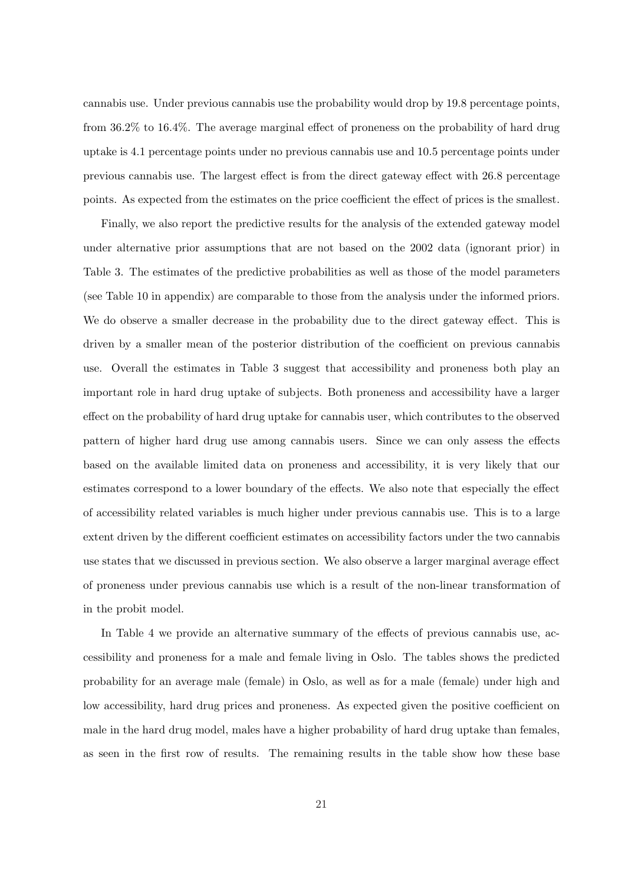cannabis use. Under previous cannabis use the probability would drop by 19.8 percentage points, from 36.2% to 16.4%. The average marginal effect of proneness on the probability of hard drug uptake is 4.1 percentage points under no previous cannabis use and 10.5 percentage points under previous cannabis use. The largest effect is from the direct gateway effect with 26.8 percentage points. As expected from the estimates on the price coefficient the effect of prices is the smallest.

Finally, we also report the predictive results for the analysis of the extended gateway model under alternative prior assumptions that are not based on the 2002 data (ignorant prior) in Table 3. The estimates of the predictive probabilities as well as those of the model parameters (see Table 10 in appendix) are comparable to those from the analysis under the informed priors. We do observe a smaller decrease in the probability due to the direct gateway effect. This is driven by a smaller mean of the posterior distribution of the coefficient on previous cannabis use. Overall the estimates in Table 3 suggest that accessibility and proneness both play an important role in hard drug uptake of subjects. Both proneness and accessibility have a larger effect on the probability of hard drug uptake for cannabis user, which contributes to the observed pattern of higher hard drug use among cannabis users. Since we can only assess the effects based on the available limited data on proneness and accessibility, it is very likely that our estimates correspond to a lower boundary of the effects. We also note that especially the effect of accessibility related variables is much higher under previous cannabis use. This is to a large extent driven by the different coefficient estimates on accessibility factors under the two cannabis use states that we discussed in previous section. We also observe a larger marginal average effect of proneness under previous cannabis use which is a result of the non-linear transformation of in the probit model.

In Table 4 we provide an alternative summary of the effects of previous cannabis use, accessibility and proneness for a male and female living in Oslo. The tables shows the predicted probability for an average male (female) in Oslo, as well as for a male (female) under high and low accessibility, hard drug prices and proneness. As expected given the positive coefficient on male in the hard drug model, males have a higher probability of hard drug uptake than females, as seen in the first row of results. The remaining results in the table show how these base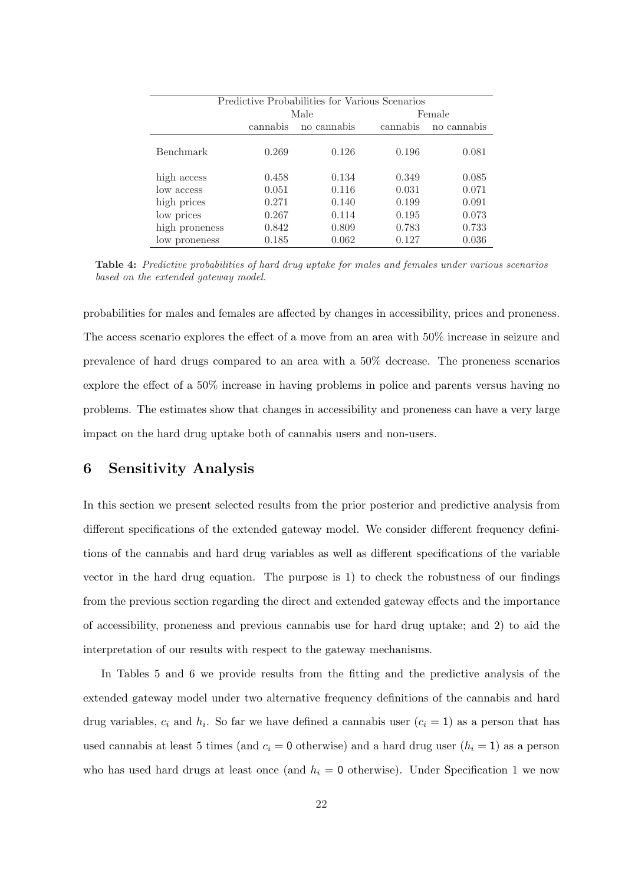| Predictive Probabilities for Various Scenarios |          |             |          |             |  |  |
|------------------------------------------------|----------|-------------|----------|-------------|--|--|
|                                                |          | Male        |          | Female      |  |  |
|                                                | cannabis | no cannabis | cannabis | no cannabis |  |  |
| Benchmark                                      | 0.269    | 0.126       | 0.196    | 0.081       |  |  |
| high access                                    | 0.458    | 0.134       | 0.349    | 0.085       |  |  |
| low access                                     | 0.051    | 0.116       | 0.031    | 0.071       |  |  |
| high prices                                    | 0.271    | 0.140       | 0.199    | 0.091       |  |  |
| low prices                                     | 0.267    | 0.114       | 0.195    | 0.073       |  |  |
| high proneness                                 | 0.842    | 0.809       | 0.783    | 0.733       |  |  |
| low proneness                                  | 0.185    | 0.062       | 0.127    | 0.036       |  |  |

Table 4: Predictive probabilities of hard drug uptake for males and females under various scenarios based on the extended gateway model.

probabilities for males and females are affected by changes in accessibility, prices and proneness. The access scenario explores the effect of a move from an area with 50% increase in seizure and prevalence of hard drugs compared to an area with a 50% decrease. The proneness scenarios explore the effect of a 50% increase in having problems in police and parents versus having no problems. The estimates show that changes in accessibility and proneness can have a very large impact on the hard drug uptake both of cannabis users and non-users.

### 6 Sensitivity Analysis

In this section we present selected results from the prior posterior and predictive analysis from different specifications of the extended gateway model. We consider different frequency definitions of the cannabis and hard drug variables as well as different specifications of the variable vector in the hard drug equation. The purpose is 1) to check the robustness of our findings from the previous section regarding the direct and extended gateway effects and the importance of accessibility, proneness and previous cannabis use for hard drug uptake; and 2) to aid the interpretation of our results with respect to the gateway mechanisms.

In Tables 5 and 6 we provide results from the fitting and the predictive analysis of the extended gateway model under two alternative frequency definitions of the cannabis and hard drug variables,  $c_i$  and  $h_i$ . So far we have defined a cannabis user  $(c_i = 1)$  as a person that has used cannabis at least 5 times (and  $c_i = 0$  otherwise) and a hard drug user  $(h_i = 1)$  as a person who has used hard drugs at least once (and  $h_i = 0$  otherwise). Under Specification 1 we now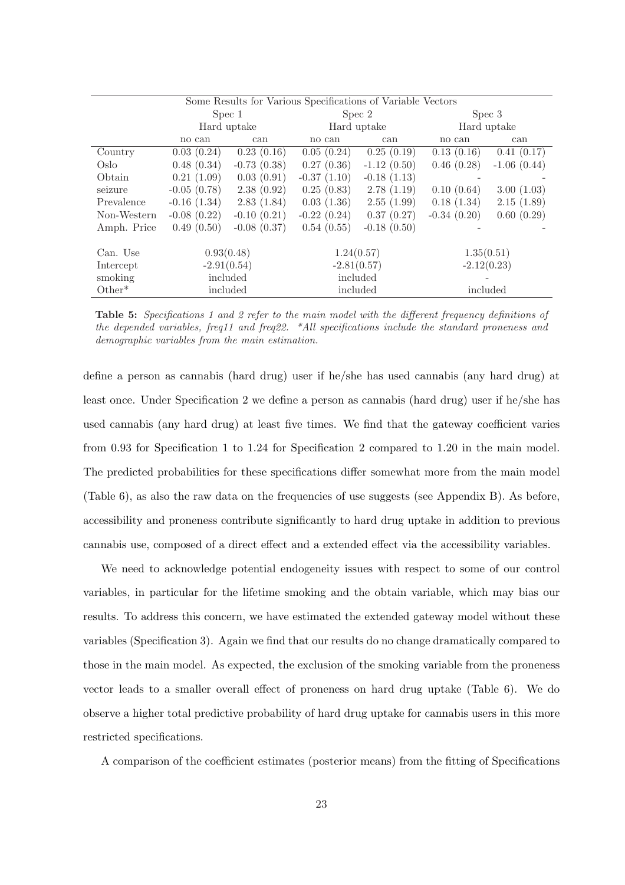|             | Some Results for Various Specifications of Variable Vectors |               |               |               |               |               |  |
|-------------|-------------------------------------------------------------|---------------|---------------|---------------|---------------|---------------|--|
|             | Spec 1                                                      |               | Spec 2        |               | Spec 3        |               |  |
|             |                                                             | Hard uptake   |               | Hard uptake   |               | Hard uptake   |  |
|             | no can                                                      | can           | no can        | can           | no can        | can           |  |
| Country     | 0.03(0.24)                                                  | 0.23(0.16)    | 0.05(0.24)    | 0.25(0.19)    | 0.13(0.16)    | 0.41(0.17)    |  |
| Oslo        | 0.48(0.34)                                                  | $-0.73(0.38)$ | 0.27(0.36)    | $-1.12(0.50)$ | 0.46(0.28)    | $-1.06(0.44)$ |  |
| Obtain      | 0.21(1.09)                                                  | 0.03(0.91)    | $-0.37(1.10)$ | $-0.18(1.13)$ |               |               |  |
| seizure     | $-0.05(0.78)$                                               | 2.38(0.92)    | 0.25(0.83)    | 2.78(1.19)    | 0.10(0.64)    | 3.00(1.03)    |  |
| Prevalence  | $-0.16(1.34)$                                               | 2.83(1.84)    | 0.03(1.36)    | 2.55(1.99)    | 0.18(1.34)    | 2.15(1.89)    |  |
| Non-Western | $-0.08(0.22)$                                               | $-0.10(0.21)$ | $-0.22(0.24)$ | 0.37(0.27)    | $-0.34(0.20)$ | 0.60(0.29)    |  |
| Amph. Price | 0.49(0.50)                                                  | $-0.08(0.37)$ | 0.54(0.55)    | $-0.18(0.50)$ |               |               |  |
|             |                                                             |               |               |               |               |               |  |
| Can. Use    | 0.93(0.48)                                                  |               |               | 1.24(0.57)    |               | 1.35(0.51)    |  |
| Intercept   | $-2.91(0.54)$                                               |               | $-2.81(0.57)$ |               | $-2.12(0.23)$ |               |  |
| smoking     | included                                                    |               |               | included      |               |               |  |
| $Other*$    |                                                             | included      |               | included      | included      |               |  |

Table 5: Specifications 1 and 2 refer to the main model with the different frequency definitions of the depended variables, freq11 and freq22. \*All specifications include the standard proneness and demographic variables from the main estimation.

define a person as cannabis (hard drug) user if he/she has used cannabis (any hard drug) at least once. Under Specification 2 we define a person as cannabis (hard drug) user if he/she has used cannabis (any hard drug) at least five times. We find that the gateway coefficient varies from 0.93 for Specification 1 to 1.24 for Specification 2 compared to 1.20 in the main model. The predicted probabilities for these specifications differ somewhat more from the main model (Table 6), as also the raw data on the frequencies of use suggests (see Appendix B). As before, accessibility and proneness contribute significantly to hard drug uptake in addition to previous cannabis use, composed of a direct effect and a extended effect via the accessibility variables.

We need to acknowledge potential endogeneity issues with respect to some of our control variables, in particular for the lifetime smoking and the obtain variable, which may bias our results. To address this concern, we have estimated the extended gateway model without these variables (Specification 3). Again we find that our results do no change dramatically compared to those in the main model. As expected, the exclusion of the smoking variable from the proneness vector leads to a smaller overall effect of proneness on hard drug uptake (Table 6). We do observe a higher total predictive probability of hard drug uptake for cannabis users in this more restricted specifications.

A comparison of the coefficient estimates (posterior means) from the fitting of Specifications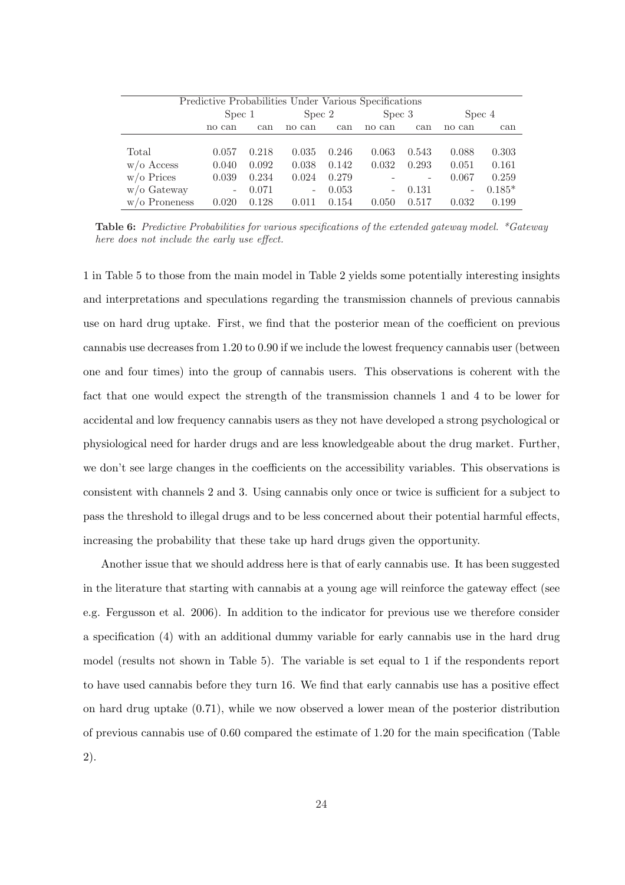| Predictive Probabilities Under Various Specifications |                          |       |                          |       |                          |                          |        |          |
|-------------------------------------------------------|--------------------------|-------|--------------------------|-------|--------------------------|--------------------------|--------|----------|
|                                                       | Spec 1                   |       | Spec 2                   |       | Spec 3                   |                          | Spec 4 |          |
|                                                       | no can                   | can   | no can                   | can   | no can                   | can                      | no can | can      |
|                                                       |                          |       |                          |       |                          |                          |        |          |
| Total                                                 | 0.057                    | 0.218 | 0.035                    | 0.246 | 0.063                    | 0.543                    | 0.088  | 0.303    |
| $w/o$ Access                                          | 0.040                    | 0.092 | 0.038                    | 0.142 | 0.032                    | 0.293                    | 0.051  | 0.161    |
| $w$ /o Prices                                         | 0.039                    | 0.234 | 0.024                    | 0.279 |                          | $\overline{\phantom{0}}$ | 0.067  | 0.259    |
| $w/o$ Gateway                                         | $\overline{\phantom{0}}$ | 0.071 | $\overline{\phantom{0}}$ | 0.053 | $\overline{\phantom{a}}$ | 0.131                    | -      | $0.185*$ |
| $w$ /o Proneness                                      | 0.020                    | 0.128 | 0.011                    | 0.154 | 0.050                    | 0.517                    | 0.032  | 0.199    |

Table 6: Predictive Probabilities for various specifications of the extended gateway model. \*Gateway here does not include the early use effect.

1 in Table 5 to those from the main model in Table 2 yields some potentially interesting insights and interpretations and speculations regarding the transmission channels of previous cannabis use on hard drug uptake. First, we find that the posterior mean of the coefficient on previous cannabis use decreases from 1.20 to 0.90 if we include the lowest frequency cannabis user (between one and four times) into the group of cannabis users. This observations is coherent with the fact that one would expect the strength of the transmission channels 1 and 4 to be lower for accidental and low frequency cannabis users as they not have developed a strong psychological or physiological need for harder drugs and are less knowledgeable about the drug market. Further, we don't see large changes in the coefficients on the accessibility variables. This observations is consistent with channels 2 and 3. Using cannabis only once or twice is sufficient for a subject to pass the threshold to illegal drugs and to be less concerned about their potential harmful effects, increasing the probability that these take up hard drugs given the opportunity.

Another issue that we should address here is that of early cannabis use. It has been suggested in the literature that starting with cannabis at a young age will reinforce the gateway effect (see e.g. Fergusson et al. 2006). In addition to the indicator for previous use we therefore consider a specification (4) with an additional dummy variable for early cannabis use in the hard drug model (results not shown in Table 5). The variable is set equal to 1 if the respondents report to have used cannabis before they turn 16. We find that early cannabis use has a positive effect on hard drug uptake (0.71), while we now observed a lower mean of the posterior distribution of previous cannabis use of 0.60 compared the estimate of 1.20 for the main specification (Table 2).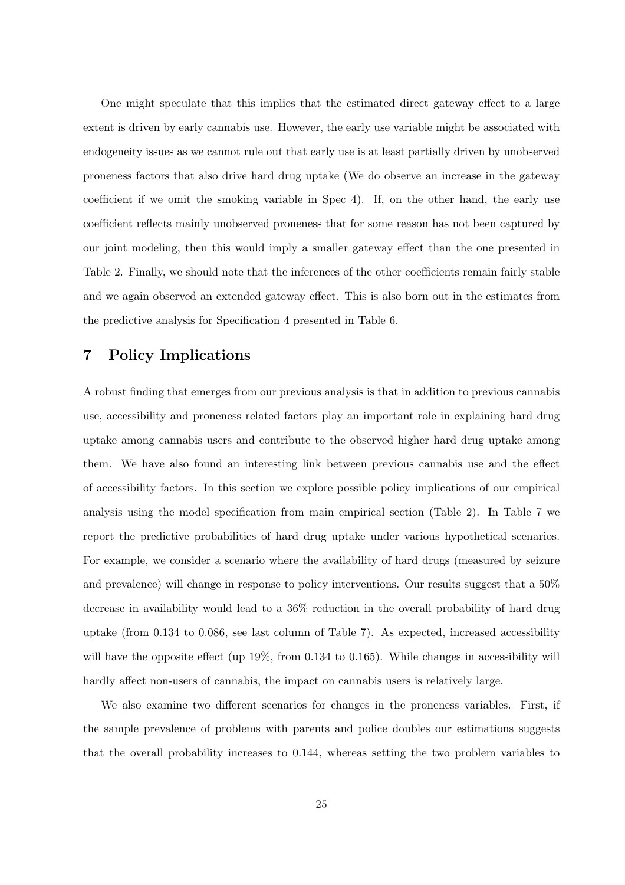One might speculate that this implies that the estimated direct gateway effect to a large extent is driven by early cannabis use. However, the early use variable might be associated with endogeneity issues as we cannot rule out that early use is at least partially driven by unobserved proneness factors that also drive hard drug uptake (We do observe an increase in the gateway coefficient if we omit the smoking variable in Spec 4). If, on the other hand, the early use coefficient reflects mainly unobserved proneness that for some reason has not been captured by our joint modeling, then this would imply a smaller gateway effect than the one presented in Table 2. Finally, we should note that the inferences of the other coefficients remain fairly stable and we again observed an extended gateway effect. This is also born out in the estimates from the predictive analysis for Specification 4 presented in Table 6.

### 7 Policy Implications

A robust finding that emerges from our previous analysis is that in addition to previous cannabis use, accessibility and proneness related factors play an important role in explaining hard drug uptake among cannabis users and contribute to the observed higher hard drug uptake among them. We have also found an interesting link between previous cannabis use and the effect of accessibility factors. In this section we explore possible policy implications of our empirical analysis using the model specification from main empirical section (Table 2). In Table 7 we report the predictive probabilities of hard drug uptake under various hypothetical scenarios. For example, we consider a scenario where the availability of hard drugs (measured by seizure and prevalence) will change in response to policy interventions. Our results suggest that a 50% decrease in availability would lead to a 36% reduction in the overall probability of hard drug uptake (from 0.134 to 0.086, see last column of Table 7). As expected, increased accessibility will have the opposite effect (up 19%, from 0.134 to 0.165). While changes in accessibility will hardly affect non-users of cannabis, the impact on cannabis users is relatively large.

We also examine two different scenarios for changes in the proneness variables. First, if the sample prevalence of problems with parents and police doubles our estimations suggests that the overall probability increases to 0.144, whereas setting the two problem variables to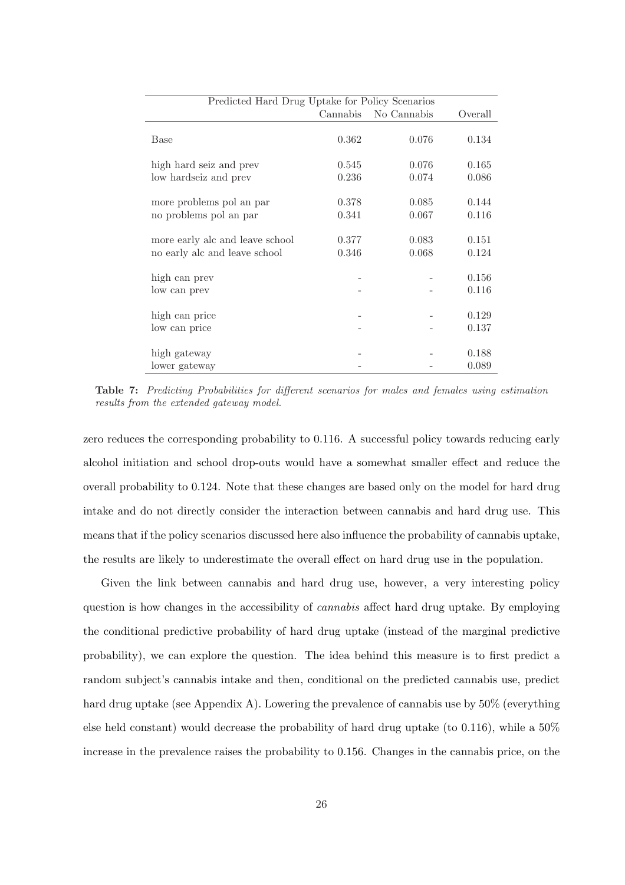| Predicted Hard Drug Uptake for Policy Scenarios |          |             |         |  |  |
|-------------------------------------------------|----------|-------------|---------|--|--|
|                                                 | Cannabis | No Cannabis | Overall |  |  |
|                                                 |          |             |         |  |  |
| Base                                            | 0.362    | 0.076       | 0.134   |  |  |
|                                                 |          |             |         |  |  |
| high hard seiz and prev                         | 0.545    | 0.076       | 0.165   |  |  |
| low hardseiz and prev                           | 0.236    | 0.074       | 0.086   |  |  |
|                                                 |          |             |         |  |  |
| more problems pol an par                        | 0.378    | 0.085       | 0.144   |  |  |
| no problems pol an par                          | 0.341    | 0.067       | 0.116   |  |  |
|                                                 |          |             |         |  |  |
| more early alc and leave school                 | 0.377    | 0.083       | 0.151   |  |  |
| no early alc and leave school                   | 0.346    | 0.068       | 0.124   |  |  |
|                                                 |          |             |         |  |  |
| high can prev                                   |          |             | 0.156   |  |  |
| low can prev                                    |          |             | 0.116   |  |  |
|                                                 |          |             |         |  |  |
| high can price                                  |          |             | 0.129   |  |  |
| low can price                                   |          |             | 0.137   |  |  |
|                                                 |          |             |         |  |  |
| high gateway                                    |          |             | 0.188   |  |  |
| lower gateway                                   |          |             | 0.089   |  |  |

Table 7: Predicting Probabilities for different scenarios for males and females using estimation results from the extended gateway model.

zero reduces the corresponding probability to 0.116. A successful policy towards reducing early alcohol initiation and school drop-outs would have a somewhat smaller effect and reduce the overall probability to 0.124. Note that these changes are based only on the model for hard drug intake and do not directly consider the interaction between cannabis and hard drug use. This means that if the policy scenarios discussed here also influence the probability of cannabis uptake, the results are likely to underestimate the overall effect on hard drug use in the population.

Given the link between cannabis and hard drug use, however, a very interesting policy question is how changes in the accessibility of *cannabis* affect hard drug uptake. By employing the conditional predictive probability of hard drug uptake (instead of the marginal predictive probability), we can explore the question. The idea behind this measure is to first predict a random subject's cannabis intake and then, conditional on the predicted cannabis use, predict hard drug uptake (see Appendix A). Lowering the prevalence of cannabis use by 50% (everything else held constant) would decrease the probability of hard drug uptake (to 0.116), while a 50% increase in the prevalence raises the probability to 0.156. Changes in the cannabis price, on the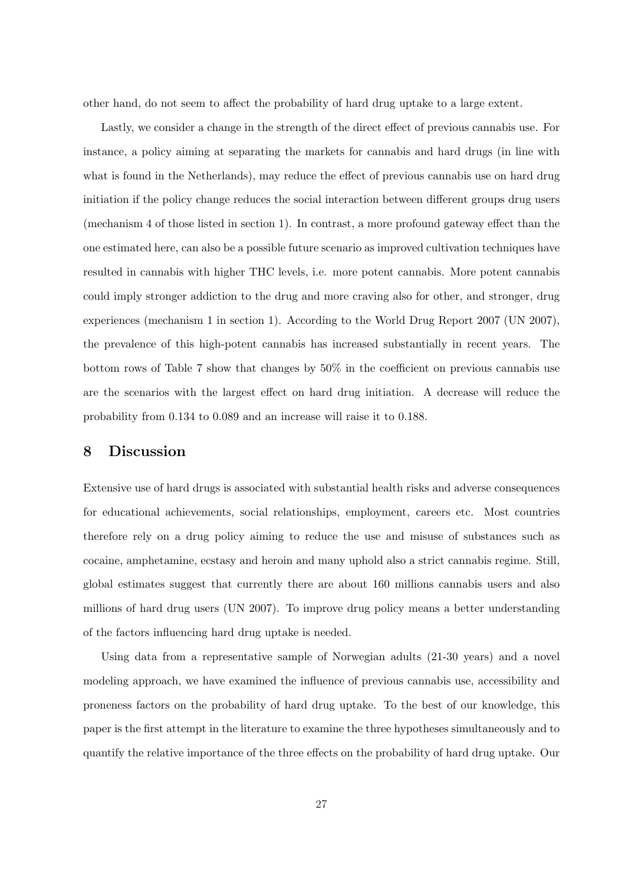other hand, do not seem to affect the probability of hard drug uptake to a large extent.

Lastly, we consider a change in the strength of the direct effect of previous cannabis use. For instance, a policy aiming at separating the markets for cannabis and hard drugs (in line with what is found in the Netherlands), may reduce the effect of previous cannabis use on hard drug initiation if the policy change reduces the social interaction between different groups drug users (mechanism 4 of those listed in section 1). In contrast, a more profound gateway effect than the one estimated here, can also be a possible future scenario as improved cultivation techniques have resulted in cannabis with higher THC levels, i.e. more potent cannabis. More potent cannabis could imply stronger addiction to the drug and more craving also for other, and stronger, drug experiences (mechanism 1 in section 1). According to the World Drug Report 2007 (UN 2007), the prevalence of this high-potent cannabis has increased substantially in recent years. The bottom rows of Table 7 show that changes by 50% in the coefficient on previous cannabis use are the scenarios with the largest effect on hard drug initiation. A decrease will reduce the probability from 0.134 to 0.089 and an increase will raise it to 0.188.

### 8 Discussion

Extensive use of hard drugs is associated with substantial health risks and adverse consequences for educational achievements, social relationships, employment, careers etc. Most countries therefore rely on a drug policy aiming to reduce the use and misuse of substances such as cocaine, amphetamine, ecstasy and heroin and many uphold also a strict cannabis regime. Still, global estimates suggest that currently there are about 160 millions cannabis users and also millions of hard drug users (UN 2007). To improve drug policy means a better understanding of the factors influencing hard drug uptake is needed.

Using data from a representative sample of Norwegian adults (21-30 years) and a novel modeling approach, we have examined the influence of previous cannabis use, accessibility and proneness factors on the probability of hard drug uptake. To the best of our knowledge, this paper is the first attempt in the literature to examine the three hypotheses simultaneously and to quantify the relative importance of the three effects on the probability of hard drug uptake. Our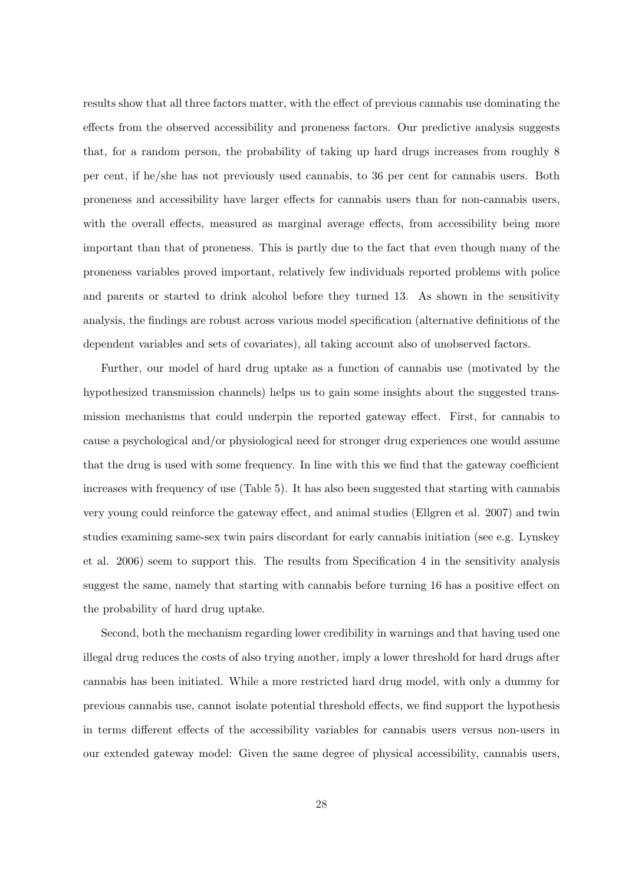results show that all three factors matter, with the effect of previous cannabis use dominating the effects from the observed accessibility and proneness factors. Our predictive analysis suggests that, for a random person, the probability of taking up hard drugs increases from roughly 8 per cent, if he/she has not previously used cannabis, to 36 per cent for cannabis users. Both proneness and accessibility have larger effects for cannabis users than for non-cannabis users, with the overall effects, measured as marginal average effects, from accessibility being more important than that of proneness. This is partly due to the fact that even though many of the proneness variables proved important, relatively few individuals reported problems with police and parents or started to drink alcohol before they turned 13. As shown in the sensitivity analysis, the findings are robust across various model specification (alternative definitions of the dependent variables and sets of covariates), all taking account also of unobserved factors.

Further, our model of hard drug uptake as a function of cannabis use (motivated by the hypothesized transmission channels) helps us to gain some insights about the suggested transmission mechanisms that could underpin the reported gateway effect. First, for cannabis to cause a psychological and/or physiological need for stronger drug experiences one would assume that the drug is used with some frequency. In line with this we find that the gateway coefficient increases with frequency of use (Table 5). It has also been suggested that starting with cannabis very young could reinforce the gateway effect, and animal studies (Ellgren et al. 2007) and twin studies examining same-sex twin pairs discordant for early cannabis initiation (see e.g. Lynskey et al. 2006) seem to support this. The results from Specification 4 in the sensitivity analysis suggest the same, namely that starting with cannabis before turning 16 has a positive effect on the probability of hard drug uptake.

Second, both the mechanism regarding lower credibility in warnings and that having used one illegal drug reduces the costs of also trying another, imply a lower threshold for hard drugs after cannabis has been initiated. While a more restricted hard drug model, with only a dummy for previous cannabis use, cannot isolate potential threshold effects, we find support the hypothesis in terms different effects of the accessibility variables for cannabis users versus non-users in our extended gateway model: Given the same degree of physical accessibility, cannabis users,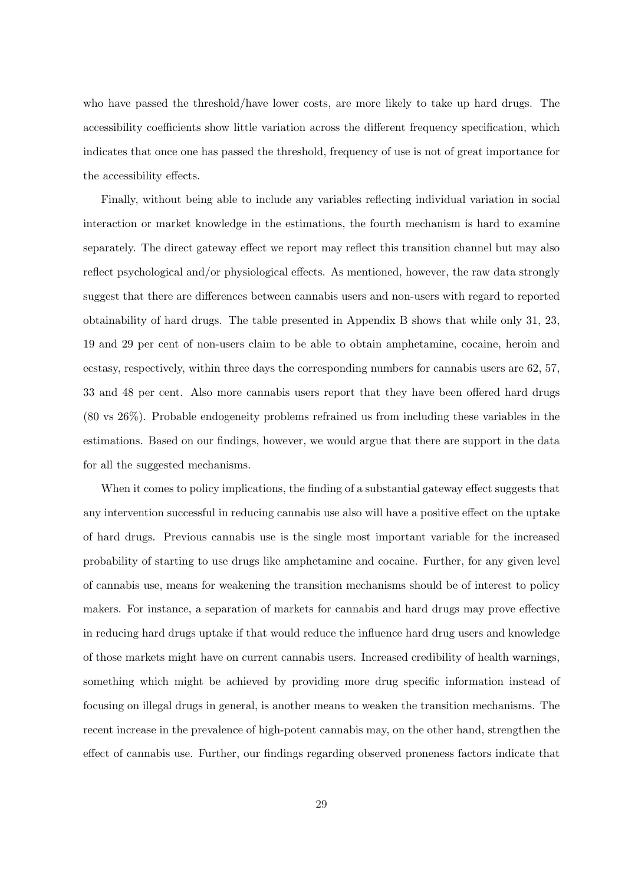who have passed the threshold/have lower costs, are more likely to take up hard drugs. The accessibility coefficients show little variation across the different frequency specification, which indicates that once one has passed the threshold, frequency of use is not of great importance for the accessibility effects.

Finally, without being able to include any variables reflecting individual variation in social interaction or market knowledge in the estimations, the fourth mechanism is hard to examine separately. The direct gateway effect we report may reflect this transition channel but may also reflect psychological and/or physiological effects. As mentioned, however, the raw data strongly suggest that there are differences between cannabis users and non-users with regard to reported obtainability of hard drugs. The table presented in Appendix B shows that while only 31, 23, 19 and 29 per cent of non-users claim to be able to obtain amphetamine, cocaine, heroin and ecstasy, respectively, within three days the corresponding numbers for cannabis users are 62, 57, 33 and 48 per cent. Also more cannabis users report that they have been offered hard drugs (80 vs 26%). Probable endogeneity problems refrained us from including these variables in the estimations. Based on our findings, however, we would argue that there are support in the data for all the suggested mechanisms.

When it comes to policy implications, the finding of a substantial gateway effect suggests that any intervention successful in reducing cannabis use also will have a positive effect on the uptake of hard drugs. Previous cannabis use is the single most important variable for the increased probability of starting to use drugs like amphetamine and cocaine. Further, for any given level of cannabis use, means for weakening the transition mechanisms should be of interest to policy makers. For instance, a separation of markets for cannabis and hard drugs may prove effective in reducing hard drugs uptake if that would reduce the influence hard drug users and knowledge of those markets might have on current cannabis users. Increased credibility of health warnings, something which might be achieved by providing more drug specific information instead of focusing on illegal drugs in general, is another means to weaken the transition mechanisms. The recent increase in the prevalence of high-potent cannabis may, on the other hand, strengthen the effect of cannabis use. Further, our findings regarding observed proneness factors indicate that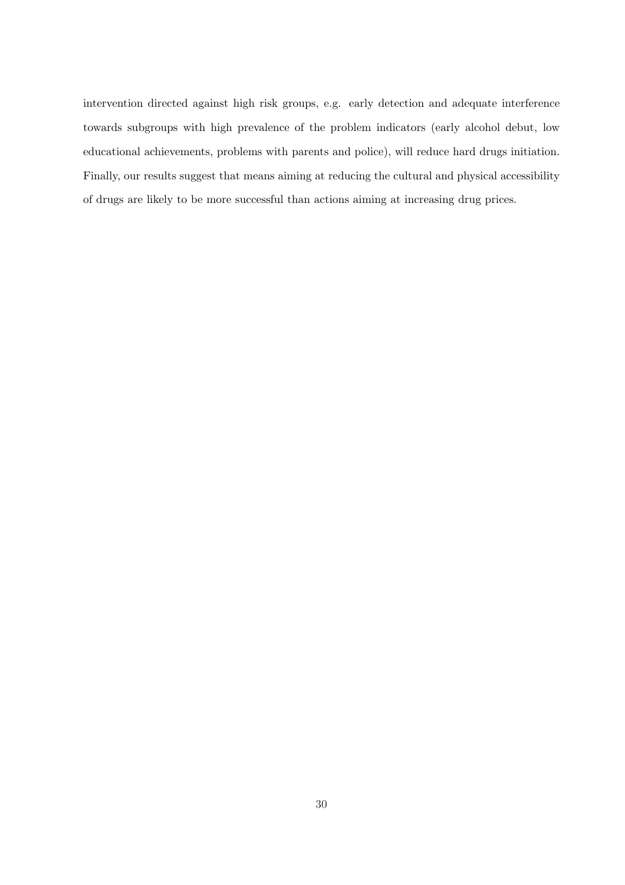intervention directed against high risk groups, e.g. early detection and adequate interference towards subgroups with high prevalence of the problem indicators (early alcohol debut, low educational achievements, problems with parents and police), will reduce hard drugs initiation. Finally, our results suggest that means aiming at reducing the cultural and physical accessibility of drugs are likely to be more successful than actions aiming at increasing drug prices.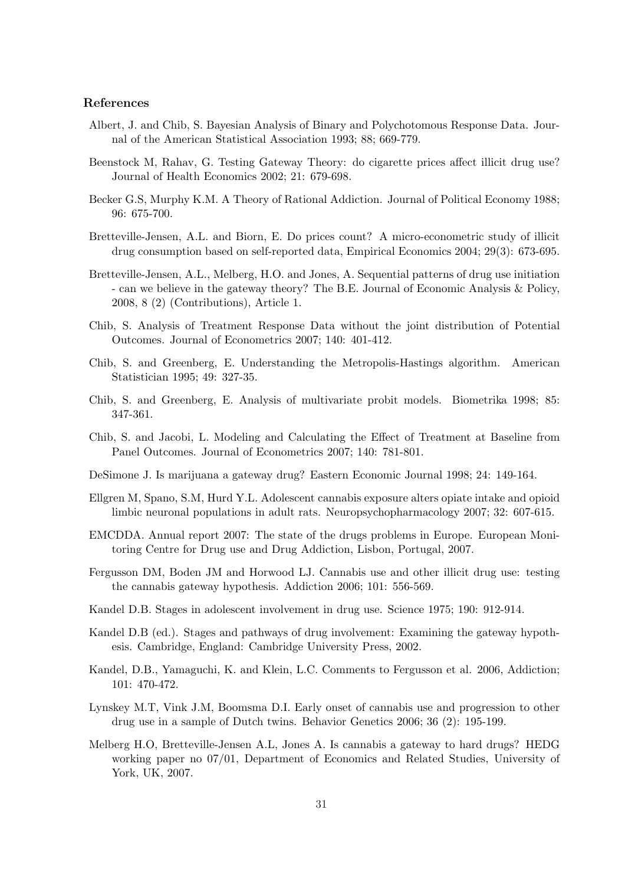#### References

- Albert, J. and Chib, S. Bayesian Analysis of Binary and Polychotomous Response Data. Journal of the American Statistical Association 1993; 88; 669-779.
- Beenstock M, Rahav, G. Testing Gateway Theory: do cigarette prices affect illicit drug use? Journal of Health Economics 2002; 21: 679-698.
- Becker G.S, Murphy K.M. A Theory of Rational Addiction. Journal of Political Economy 1988; 96: 675-700.
- Bretteville-Jensen, A.L. and Biorn, E. Do prices count? A micro-econometric study of illicit drug consumption based on self-reported data, Empirical Economics 2004; 29(3): 673-695.
- Bretteville-Jensen, A.L., Melberg, H.O. and Jones, A. Sequential patterns of drug use initiation - can we believe in the gateway theory? The B.E. Journal of Economic Analysis & Policy, 2008, 8 (2) (Contributions), Article 1.
- Chib, S. Analysis of Treatment Response Data without the joint distribution of Potential Outcomes. Journal of Econometrics 2007; 140: 401-412.
- Chib, S. and Greenberg, E. Understanding the Metropolis-Hastings algorithm. American Statistician 1995; 49: 327-35.
- Chib, S. and Greenberg, E. Analysis of multivariate probit models. Biometrika 1998; 85: 347-361.
- Chib, S. and Jacobi, L. Modeling and Calculating the Effect of Treatment at Baseline from Panel Outcomes. Journal of Econometrics 2007; 140: 781-801.
- DeSimone J. Is marijuana a gateway drug? Eastern Economic Journal 1998; 24: 149-164.
- Ellgren M, Spano, S.M, Hurd Y.L. Adolescent cannabis exposure alters opiate intake and opioid limbic neuronal populations in adult rats. Neuropsychopharmacology 2007; 32: 607-615.
- EMCDDA. Annual report 2007: The state of the drugs problems in Europe. European Monitoring Centre for Drug use and Drug Addiction, Lisbon, Portugal, 2007.
- Fergusson DM, Boden JM and Horwood LJ. Cannabis use and other illicit drug use: testing the cannabis gateway hypothesis. Addiction 2006; 101: 556-569.
- Kandel D.B. Stages in adolescent involvement in drug use. Science 1975; 190: 912-914.
- Kandel D.B (ed.). Stages and pathways of drug involvement: Examining the gateway hypothesis. Cambridge, England: Cambridge University Press, 2002.
- Kandel, D.B., Yamaguchi, K. and Klein, L.C. Comments to Fergusson et al. 2006, Addiction; 101: 470-472.
- Lynskey M.T, Vink J.M, Boomsma D.I. Early onset of cannabis use and progression to other drug use in a sample of Dutch twins. Behavior Genetics 2006; 36 (2): 195-199.
- Melberg H.O, Bretteville-Jensen A.L, Jones A. Is cannabis a gateway to hard drugs? HEDG working paper no 07/01, Department of Economics and Related Studies, University of York, UK, 2007.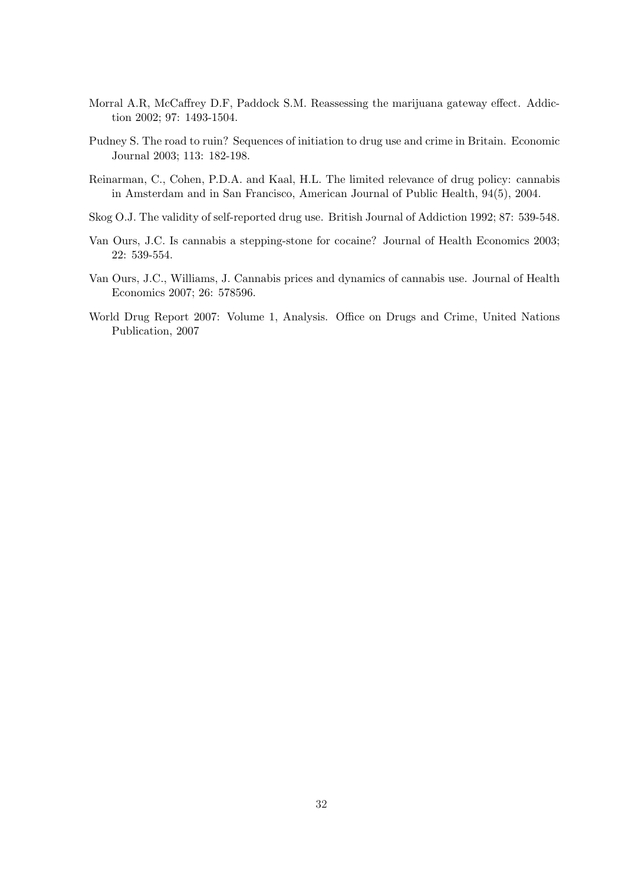- Morral A.R, McCaffrey D.F, Paddock S.M. Reassessing the marijuana gateway effect. Addiction 2002; 97: 1493-1504.
- Pudney S. The road to ruin? Sequences of initiation to drug use and crime in Britain. Economic Journal 2003; 113: 182-198.
- Reinarman, C., Cohen, P.D.A. and Kaal, H.L. The limited relevance of drug policy: cannabis in Amsterdam and in San Francisco, American Journal of Public Health, 94(5), 2004.
- Skog O.J. The validity of self-reported drug use. British Journal of Addiction 1992; 87: 539-548.
- Van Ours, J.C. Is cannabis a stepping-stone for cocaine? Journal of Health Economics 2003; 22: 539-554.
- Van Ours, J.C., Williams, J. Cannabis prices and dynamics of cannabis use. Journal of Health Economics 2007; 26: 578596.
- World Drug Report 2007: Volume 1, Analysis. Office on Drugs and Crime, United Nations Publication, 2007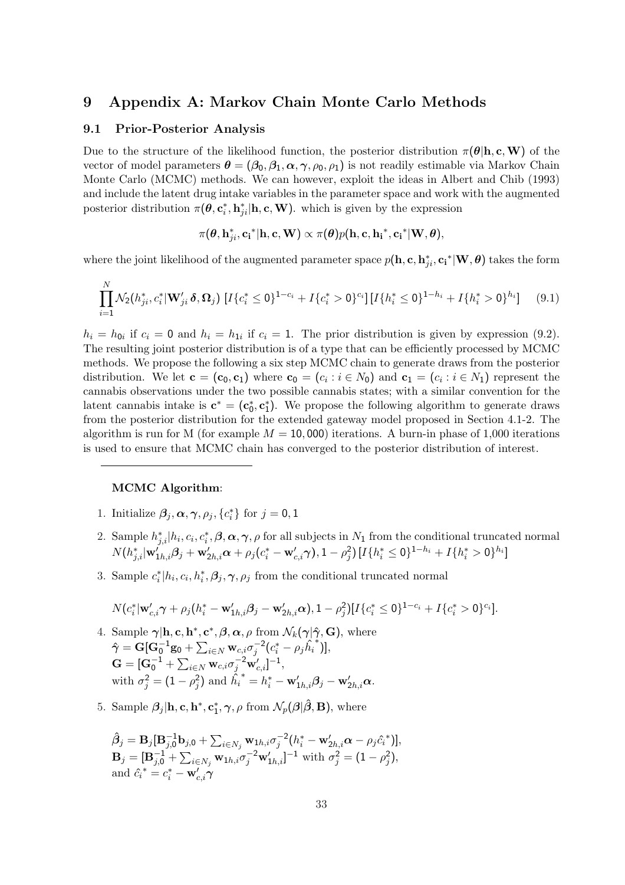### 9 Appendix A: Markov Chain Monte Carlo Methods

#### 9.1 Prior-Posterior Analysis

Due to the structure of the likelihood function, the posterior distribution  $\pi(\theta | h, c, W)$  of the vector of model parameters  $\theta = (\beta_0, \beta_1, \alpha, \gamma, \rho_0, \rho_1)$  is not readily estimable via Markov Chain Monte Carlo (MCMC) methods. We can however, exploit the ideas in Albert and Chib (1993) and include the latent drug intake variables in the parameter space and work with the augmented posterior distribution  $\pi(\theta, \mathbf{c}_i^*, \mathbf{h}_{ji}^* | \mathbf{h}, \mathbf{c}, \mathbf{W})$ . which is given by the expression

$$
\pi(\boldsymbol{\theta}, \mathbf{h}_{ji}^*, \mathbf{c_i}^* | \mathbf{h}, \mathbf{c}, \mathbf{W}) \propto \pi(\boldsymbol{\theta}) p(\mathbf{h}, \mathbf{c}, \mathbf{h_i}^*, \mathbf{c_i}^* | \mathbf{W}, \boldsymbol{\theta}),
$$

where the joint likelihood of the augmented parameter space  $p(h, \mathbf{c}, \mathbf{h}_{ji}^*, \mathbf{c_i}^* | \mathbf{W}, \boldsymbol{\theta})$  takes the form

$$
\prod_{i=1}^{N} \mathcal{N}_2(h_{ji}^*, c_i^* | \mathbf{W}'_{ji} \delta, \Omega_j) \left[ I \{ c_i^* \le 0 \}^{1-c_i} + I \{ c_i^* > 0 \}^{c_i} \right] \left[ I \{ h_i^* \le 0 \}^{1-h_i} + I \{ h_i^* > 0 \}^{h_i} \right] \tag{9.1}
$$

 $h_i = h_{0i}$  if  $c_i = 0$  and  $h_i = h_{1i}$  if  $c_i = 1$ . The prior distribution is given by expression (9.2). The resulting joint posterior distribution is of a type that can be efficiently processed by MCMC methods. We propose the following a six step MCMC chain to generate draws from the posterior distribution. We let  $\mathbf{c} = (\mathbf{c}_0, \mathbf{c}_1)$  where  $\mathbf{c}_0 = (c_i : i \in N_0)$  and  $\mathbf{c}_1 = (c_i : i \in N_1)$  represent the cannabis observations under the two possible cannabis states; with a similar convention for the latent cannabis intake is  $\mathbf{c}^* = (\mathbf{c}_0^*, \mathbf{c}_1^*)$ . We propose the following algorithm to generate draws from the posterior distribution for the extended gateway model proposed in Section 4.1-2. The algorithm is run for M (for example  $M = 10,000$ ) iterations. A burn-in phase of 1,000 iterations is used to ensure that MCMC chain has converged to the posterior distribution of interest.

### MCMC Algorithm:

- 1. Initialize  $\beta_j, \alpha, \gamma, \rho_j, \{c_i^*\}$  for  $j = 0, 1$
- 2. Sample  $h_{j,i}^*[h_i, c_i, c_i^*, \beta, \alpha, \gamma, \rho \text{ for all subjects in } N_1 \text{ from the conditional truncated normal.}$  $N(h_{j,i}^{*}|\mathbf{w}_{1h,i}^{'}\boldsymbol{\beta}_j+\mathbf{w}_{2h,i}^{\prime}\boldsymbol{\alpha}+\rho_j(c_i^{*}-\mathbf{w}_{c,i}^{'}\boldsymbol{\gamma}),1-\rho_j^2)\left[I\{h_i^{*}\leq 0\}^{1-h_i}+I\{h_i^{*}>0\}^{h_i}\right]$
- 3. Sample  $c_i^* | h_i, c_i, h_i^*, \beta_j, \gamma, \rho_j$  from the conditional truncated normal

$$
N(c_i^*|\mathbf{w}'_{c,i}\boldsymbol{\gamma}+\rho_j(h_i^*-\mathbf{w}'_{1h,i}\boldsymbol{\beta}_j-\mathbf{w}'_{2h,i}\boldsymbol{\alpha}),1-\rho_j^2)[I\{c_i^*\leq 0\}^{1-c_i}+I\{c_i^*>0\}^{c_i}].
$$

- 4. Sample  $\gamma$ |**h**, **c**, **h**<sup>\*</sup>, **c**<sup>\*</sup>,  $\beta$ ,  $\alpha$ ,  $\rho$  from  $\mathcal{N}_k(\gamma|\hat{\gamma}, \mathbf{G})$ , where  $\hat{\gamma} = \mathbf{G}[\mathbf{G}_0^{-1} \mathbf{g}_0 +$  $\overline{C}$  $\sum_{i\in N}\mathbf{w}_{c,i}\sigma_j^{-2}(c_i^*-\rho_j\hat{h_i})$ ∗ )],  $\mathbf{G} = [\mathbf{G}_0^{-1} +$  $\stackrel{\circ}{\phantom{}_{\sim}}$  $_{i\in N}\operatorname{w}_{c,i}\sigma_{j}^{-2}\operatorname{w}_{c,i}^{\prime}]^{-1},$ with  $\sigma_j^2 = (1 - \rho_j^2)$  and  $\hat{h_i}$  $\boldsymbol{v}^* = h_i^* - \mathbf{w}'_{1h,i} \boldsymbol{\beta}_j - \mathbf{w}'_{2h,i} \boldsymbol{\alpha}.$
- 5. Sample  $\beta_j$ |**h**, **c**, **h**<sup>\*</sup>, **c**<sub>1</sub><sup>\*</sup>,  $\gamma$ ,  $\rho$  from  $\mathcal{N}_p(\beta|\hat{\beta}, \mathbf{B})$ , where

$$
\hat{\beta}_j = \mathbf{B}_j[\mathbf{B}_{j,0}^{-1}\mathbf{b}_{j,0} + \sum_{i \in N_j} \mathbf{w}_{1h,i} \sigma_j^{-2} (h_i^* - \mathbf{w}_{2h,i}' \alpha - \rho_j \hat{c}_i^*)],
$$
  
\n
$$
\mathbf{B}_j = [\mathbf{B}_{j,0}^{-1} + \sum_{i \in N_j} \mathbf{w}_{1h,i} \sigma_j^{-2} \mathbf{w}_{1h,i}' ]^{-1} \text{ with } \sigma_j^2 = (1 - \rho_j^2),
$$
  
\nand  $\hat{c}_i^* = c_i^* - \mathbf{w}_{c,i}' \gamma$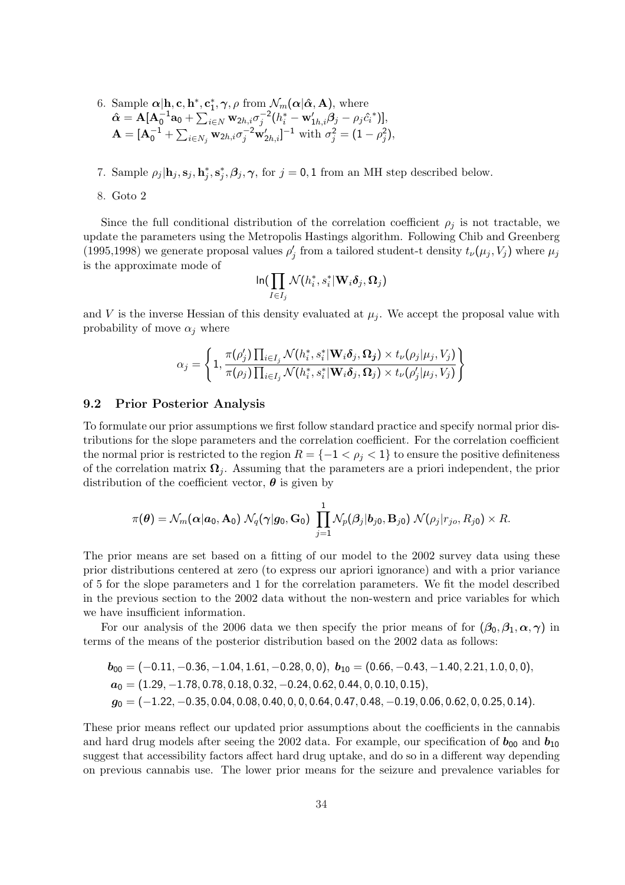6. Sample  $\alpha | h, c, h^*, c_1^*, \gamma, \rho \text{ from } \mathcal{N}_m(\alpha | \hat{\alpha}, \mathbf{A})$ , where  $\hat{\boldsymbol{\alpha}} = \mathbf{A} [\mathbf{A}_0^{-1} \mathbf{a}_0 +$  $\overline{C}$  $\sum_{i\in N} \mathbf{w}_{2h,i} \sigma_j^{-2} (h_i^*-\mathbf{w}'_{1h,i}\boldsymbol{\beta}_j-\rho_j \hat{c_i}^*)],$  ${\bf A} = [{\bf A}_0^{-1} \, + \,$  $\overline{\mathbf{v}}$  $\sum_{i \in N_j} \mathbf{w}_{2h,i} \sigma_j^{-2} \mathbf{w}'_{2h,i}$ ]<sup>-1</sup> with  $\sigma_j^2 = (1 - \rho_j^2)$ ,

7. Sample  $\rho_j | \mathbf{h}_j, \mathbf{s}_j, \mathbf{h}_j^*, \mathbf{s}_j^*, \boldsymbol{\beta}_j, \boldsymbol{\gamma}$ , for  $j = 0, 1$  from an MH step described below.

8. Goto 2

Since the full conditional distribution of the correlation coefficient  $\rho_i$  is not tractable, we update the parameters using the Metropolis Hastings algorithm. Following Chib and Greenberg (1995,1998) we generate proposal values  $\rho'_j$  from a tailored student-t density  $t_\nu(\mu_j, V_j)$  where  $\mu_j$ is the approximate mode of

$$
\ln\left(\prod_{I\in I_j}\mathcal{N}(h_i^*,s_i^*|\mathbf{W}_i\boldsymbol{\delta}_j,\boldsymbol{\Omega}_j)\right)
$$

and V is the inverse Hessian of this density evaluated at  $\mu_i$ . We accept the proposal value with probability of move  $\alpha_i$  where

$$
\alpha_j = \left\{1, \frac{\pi(\rho'_j) \prod_{i \in I_j} \mathcal{N}(h_i^*, s_i^* | \mathbf{W}_i \boldsymbol{\delta}_j, \mathbf{\Omega_j}) \times t_{\nu}(\rho_j | \mu_j, V_j)}{\pi(\rho_j) \prod_{i \in I_j} \mathcal{N}(h_i^*, s_i^* | \mathbf{W}_i \boldsymbol{\delta}_j, \mathbf{\Omega}_j) \times t_{\nu}(\rho'_j | \mu_j, V_j)}\right\}
$$

#### 9.2 Prior Posterior Analysis

To formulate our prior assumptions we first follow standard practice and specify normal prior distributions for the slope parameters and the correlation coefficient. For the correlation coefficient the normal prior is restricted to the region  $R = \{-1 \lt \rho_i \lt 1\}$  to ensure the positive definiteness of the correlation matrix  $\Omega_i$ . Assuming that the parameters are a priori independent, the prior distribution of the coefficient vector,  $\theta$  is given by

$$
\pi(\boldsymbol{\theta}) = \mathcal{N}_m(\boldsymbol{\alpha}|\boldsymbol{a}_0,\mathbf{A}_0) \; \mathcal{N}_q(\boldsymbol{\gamma}|\boldsymbol{g}_0,\mathbf{G}_0) \; \prod_{j=1}^1 \mathcal{N}_p(\boldsymbol{\beta}_j|\boldsymbol{b}_{j0},\mathbf{B}_{j0}) \; \mathcal{N}(\rho_j|r_{jo},R_{j0}) \times R.
$$

The prior means are set based on a fitting of our model to the 2002 survey data using these prior distributions centered at zero (to express our apriori ignorance) and with a prior variance of 5 for the slope parameters and 1 for the correlation parameters. We fit the model described in the previous section to the 2002 data without the non-western and price variables for which we have insufficient information.

For our analysis of the 2006 data we then specify the prior means of for  $(\beta_0, \beta_1, \alpha, \gamma)$  in terms of the means of the posterior distribution based on the 2002 data as follows:

$$
b_{00} = (-0.11, -0.36, -1.04, 1.61, -0.28, 0, 0), b_{10} = (0.66, -0.43, -1.40, 2.21, 1.0, 0, 0),
$$
  
\n
$$
a_0 = (1.29, -1.78, 0.78, 0.18, 0.32, -0.24, 0.62, 0.44, 0, 0.10, 0.15),
$$
  
\n
$$
g_0 = (-1.22, -0.35, 0.04, 0.08, 0.40, 0, 0, 0.64, 0.47, 0.48, -0.19, 0.06, 0.62, 0, 0.25, 0.14).
$$

These prior means reflect our updated prior assumptions about the coefficients in the cannabis and hard drug models after seeing the 2002 data. For example, our specification of  $b_{00}$  and  $b_{10}$ suggest that accessibility factors affect hard drug uptake, and do so in a different way depending on previous cannabis use. The lower prior means for the seizure and prevalence variables for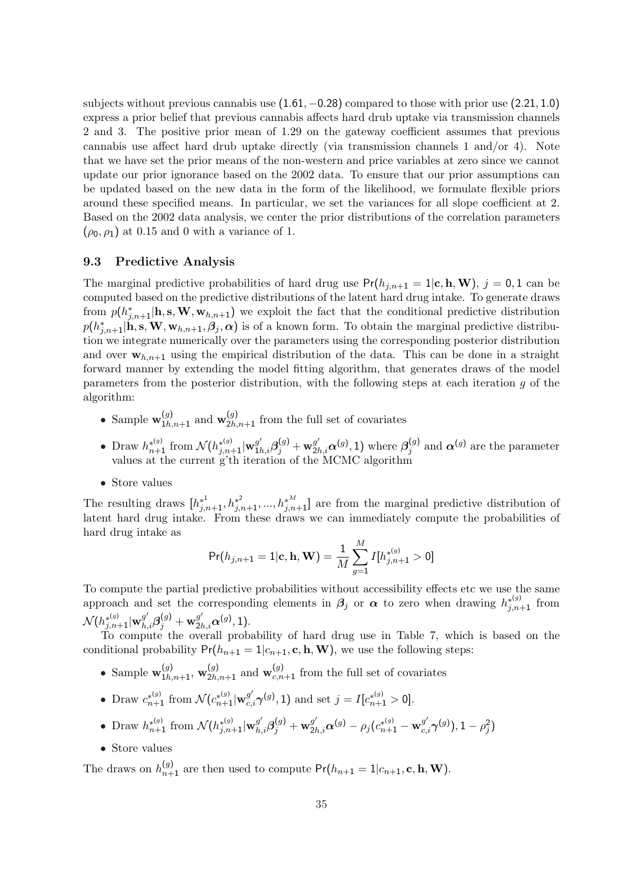subjects without previous cannabis use (1.61, −0.28) compared to those with prior use (2.21, 1.0) express a prior belief that previous cannabis affects hard drub uptake via transmission channels 2 and 3. The positive prior mean of 1.29 on the gateway coefficient assumes that previous cannabis use affect hard drub uptake directly (via transmission channels 1 and/or 4). Note that we have set the prior means of the non-western and price variables at zero since we cannot update our prior ignorance based on the 2002 data. To ensure that our prior assumptions can be updated based on the new data in the form of the likelihood, we formulate flexible priors around these specified means. In particular, we set the variances for all slope coefficient at 2. Based on the 2002 data analysis, we center the prior distributions of the correlation parameters  $(\rho_0, \rho_1)$  at 0.15 and 0 with a variance of 1.

#### 9.3 Predictive Analysis

The marginal predictive probabilities of hard drug use  $Pr(h_{j,n+1} = 1 | c, h, W)$ ,  $j = 0, 1$  can be computed based on the predictive distributions of the latent hard drug intake. To generate draws from  $p(h_{j,n+1}^*|\mathbf{h}, \mathbf{s}, \mathbf{W}, \mathbf{w}_{h,n+1})$  we exploit the fact that the conditional predictive distribution  $p(h_{j,n+1}^*|\hat{\mathbf{h}}, \mathbf{s}, \mathbf{W}, \mathbf{w}_{h,n+1}, \boldsymbol{\beta}_j, \boldsymbol{\alpha})$  is of a known form. To obtain the marginal predictive distribution we integrate numerically over the parameters using the corresponding posterior distribution and over  $w_{h,n+1}$  using the empirical distribution of the data. This can be done in a straight forward manner by extending the model fitting algorithm, that generates draws of the model parameters from the posterior distribution, with the following steps at each iteration g of the algorithm:

- Sample  $\mathbf{w}_{1h,n+1}^{(g)}$  and  $\mathbf{w}_{2h,n+1}^{(g)}$  from the full set of covariates
- Draw  $h_{n+1}^{*(g)}$  from  $\mathcal{N}(h_{j,n+1}^{*(g)}|\mathbf{w}_{1h,i}^{g'}\beta_j^{(g)} + \mathbf{w}_{2h,i}^{g'}\alpha^{(g)}, 1)$  where  $\beta_j^{(g)}$  $j^{(g)}$  and  $\alpha^{(g)}$  are the parameter values at the current g'th iteration of the MCMC algorithm
- Store values

The resulting draws  $[h_{j,n+1}^{*^1}, h_{j,n+1}^{*^2},...,h_{j,n+1}^{*^M}]$  are from the marginal predictive distribution of latent hard drug intake. From these draws we can immediately compute the probabilities of hard drug intake as

$$
\text{Pr}(h_{j,n+1}=1|\mathbf{c},\mathbf{h},\mathbf{W})=\frac{1}{M}\sum_{g=1}^{M}I[h_{j,n+1}^{*(g)} > 0]
$$

To compute the partial predictive probabilities without accessibility effects etc we use the same approach and set the corresponding elements in  $\beta_j$  or  $\alpha$  to zero when drawing  $h_{j,n+1}^{*(g)}$  from  $\mathcal{N}(h^{*(g)}_{j,n+1}|\mathbf{w}^{g'}_{h,i}\mathbf{\beta}^{(g)}_j+\mathbf{w}^{g'}_{2h,i}\mathbf{\alpha}^{(g)},1).$ 

To compute the overall probability of hard drug use in Table 7, which is based on the conditional probability  $Pr(h_{n+1} = 1 | c_{n+1}, \mathbf{c}, \mathbf{h}, \mathbf{W})$ , we use the following steps:

- Sample  $\mathbf{w}_{1h,n+1}^{(g)}$ ,  $\mathbf{w}_{2h,n+1}^{(g)}$  and  $\mathbf{w}_{c,n+1}^{(g)}$  from the full set of covariates
- Draw  $c_{n+1}^{*(g)}$  from  $\mathcal{N}(c_{n+1}^{*(g)} | \mathbf{w}_{c,i}^{g'} \boldsymbol{\gamma}^{(g)}, 1)$  and set  $j = I[c_{n+1}^{*(g)} > 0]$ .
- Draw  $h_{n+1}^{*(g)}$  from  $\mathcal{N}(h_{j,n+1}^{*(g)} | \mathbf{w}_{h,i}^{g'} \boldsymbol{\beta}_j^{(g)} + \mathbf{w}_{2h,i}^{g'} \boldsymbol{\alpha}^{(g)} \rho_j (c_{n+1}^{*(g)} \mathbf{w}_{c,i}^{g'} \boldsymbol{\gamma}^{(g)}), 1 \rho_j^2)$
- Store values

The draws on  $h_{n+1}^{(g)}$  are then used to compute  $Pr(h_{n+1} = 1 | c_{n+1}, \mathbf{c}, \mathbf{h}, \mathbf{W}).$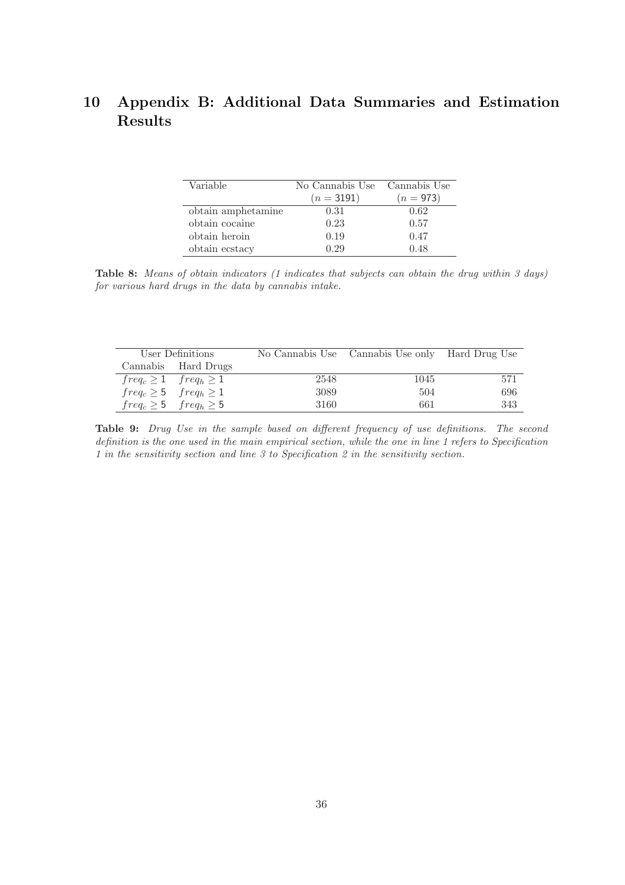## 10 Appendix B: Additional Data Summaries and Estimation Results

| Variable           | No Cannabis Use Cannabis Use |             |
|--------------------|------------------------------|-------------|
|                    | $(n=3191)$                   | $(n = 973)$ |
| obtain amphetamine | 0.31                         | 0.62        |
| obtain cocaine     | 0.23                         | 0.57        |
| obtain heroin      | 0.19                         | 0.47        |
| obtain ecstacy     | 0.29                         | 0.48        |

Table 8: Means of obtain indicators (1 indicates that subjects can obtain the drug within 3 days) for various hard drugs in the data by cannabis intake.

| User Definitions                |      | No Cannabis Use Cannabis Use only Hard Drug Use |     |
|---------------------------------|------|-------------------------------------------------|-----|
| Cannabis Hard Drugs             |      |                                                 |     |
| $freq_c \geq 1$ $freq_h \geq 1$ | 2548 | 1045                                            | 571 |
| $freq_c \geq 5$ $freq_h \geq 1$ | 3089 | 504                                             | 696 |
| $freq_c \geq 5$ $freq_h \geq 5$ | 3160 | 661                                             | 343 |

Table 9: Drug Use in the sample based on different frequency of use definitions. The second definition is the one used in the main empirical section, while the one in line 1 refers to Specification 1 in the sensitivity section and line 3 to Specification 2 in the sensitivity section.